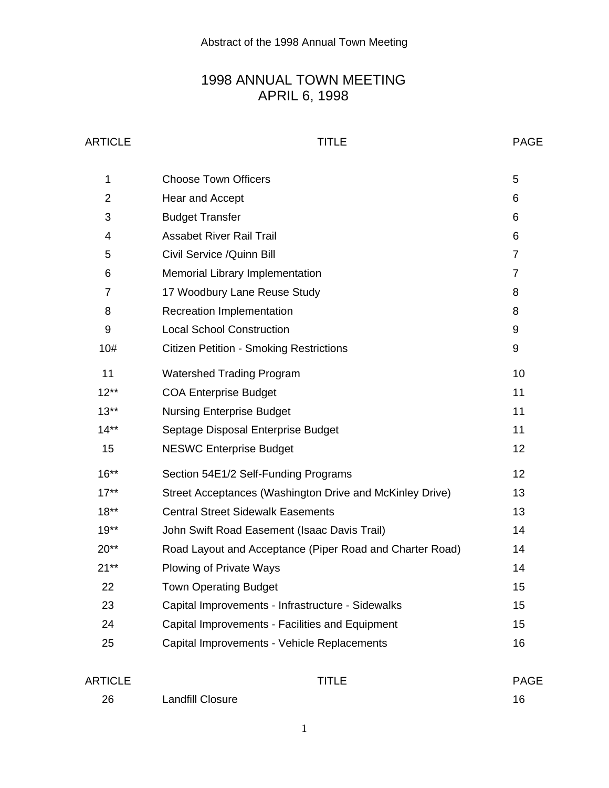# 1998 ANNUAL TOWN MEETING APRIL 6, 1998

# ARTICLE PAGE

| 1              | <b>Choose Town Officers</b>                              | 5              |
|----------------|----------------------------------------------------------|----------------|
| $\overline{2}$ | Hear and Accept                                          | 6              |
| 3              | <b>Budget Transfer</b>                                   | 6              |
| 4              | <b>Assabet River Rail Trail</b>                          | 6              |
| 5              | Civil Service / Quinn Bill                               | $\overline{7}$ |
| 6              | <b>Memorial Library Implementation</b>                   | $\overline{7}$ |
| 7              | 17 Woodbury Lane Reuse Study                             | 8              |
| 8              | <b>Recreation Implementation</b>                         | 8              |
| 9              | <b>Local School Construction</b>                         | 9              |
| 10#            | <b>Citizen Petition - Smoking Restrictions</b>           | 9              |
| 11             | <b>Watershed Trading Program</b>                         | 10             |
| $12**$         | <b>COA Enterprise Budget</b>                             | 11             |
| $13**$         | <b>Nursing Enterprise Budget</b>                         | 11             |
| $14**$         | Septage Disposal Enterprise Budget                       | 11             |
| 15             | <b>NESWC Enterprise Budget</b>                           | 12             |
| $16***$        | Section 54E1/2 Self-Funding Programs                     | 12             |
| $17**$         | Street Acceptances (Washington Drive and McKinley Drive) | 13             |
| $18**$         | <b>Central Street Sidewalk Easements</b>                 | 13             |
| $19**$         | John Swift Road Easement (Isaac Davis Trail)             | 14             |
| $20**$         | Road Layout and Acceptance (Piper Road and Charter Road) | 14             |
| $21**$         | <b>Plowing of Private Ways</b>                           | 14             |
| 22             | <b>Town Operating Budget</b>                             | 15             |
| 23             | Capital Improvements - Infrastructure - Sidewalks        | 15             |
| 24             | Capital Improvements - Facilities and Equipment          | 15             |
| 25             | Capital Improvements - Vehicle Replacements              | 16             |
|                |                                                          |                |

| ARTICLE |                         | <b>TITLE</b> | <b>PAGE</b> |
|---------|-------------------------|--------------|-------------|
| 26      | <b>Landfill Closure</b> |              | 16          |

1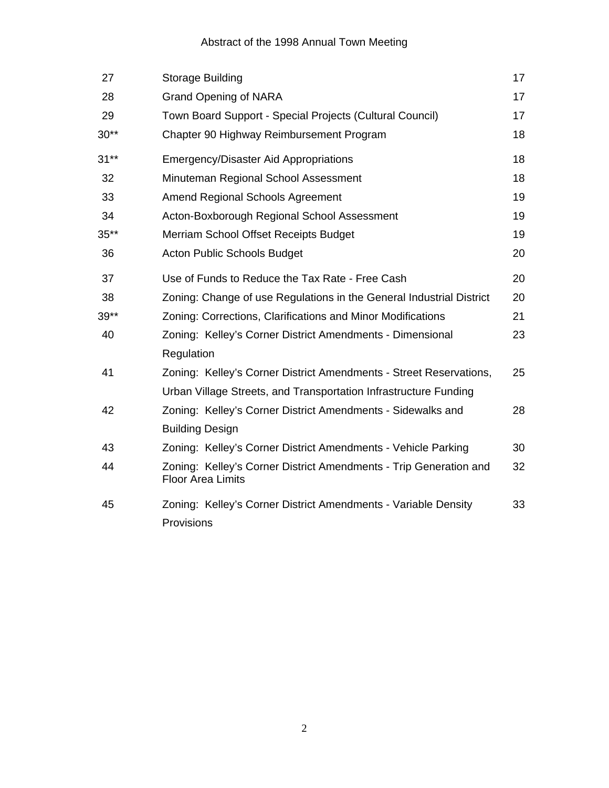# Abstract of the 1998 Annual Town Meeting

| 27     | Storage Building                                                                                                                       | 17 |
|--------|----------------------------------------------------------------------------------------------------------------------------------------|----|
| 28     | <b>Grand Opening of NARA</b>                                                                                                           | 17 |
| 29     | Town Board Support - Special Projects (Cultural Council)                                                                               | 17 |
| $30**$ | Chapter 90 Highway Reimbursement Program                                                                                               | 18 |
| $31**$ | <b>Emergency/Disaster Aid Appropriations</b>                                                                                           | 18 |
| 32     | Minuteman Regional School Assessment                                                                                                   | 18 |
| 33     | Amend Regional Schools Agreement                                                                                                       | 19 |
| 34     | Acton-Boxborough Regional School Assessment                                                                                            | 19 |
| $35**$ | Merriam School Offset Receipts Budget                                                                                                  | 19 |
| 36     | Acton Public Schools Budget                                                                                                            | 20 |
| 37     | Use of Funds to Reduce the Tax Rate - Free Cash                                                                                        | 20 |
| 38     | Zoning: Change of use Regulations in the General Industrial District                                                                   | 20 |
| $39**$ | Zoning: Corrections, Clarifications and Minor Modifications                                                                            | 21 |
| 40     | Zoning: Kelley's Corner District Amendments - Dimensional                                                                              | 23 |
|        | Regulation                                                                                                                             |    |
| 41     | Zoning: Kelley's Corner District Amendments - Street Reservations,<br>Urban Village Streets, and Transportation Infrastructure Funding | 25 |
| 42     | Zoning: Kelley's Corner District Amendments - Sidewalks and<br><b>Building Design</b>                                                  | 28 |
| 43     | Zoning: Kelley's Corner District Amendments - Vehicle Parking                                                                          | 30 |
| 44     | Zoning: Kelley's Corner District Amendments - Trip Generation and<br><b>Floor Area Limits</b>                                          | 32 |
| 45     | Zoning: Kelley's Corner District Amendments - Variable Density<br>Provisions                                                           | 33 |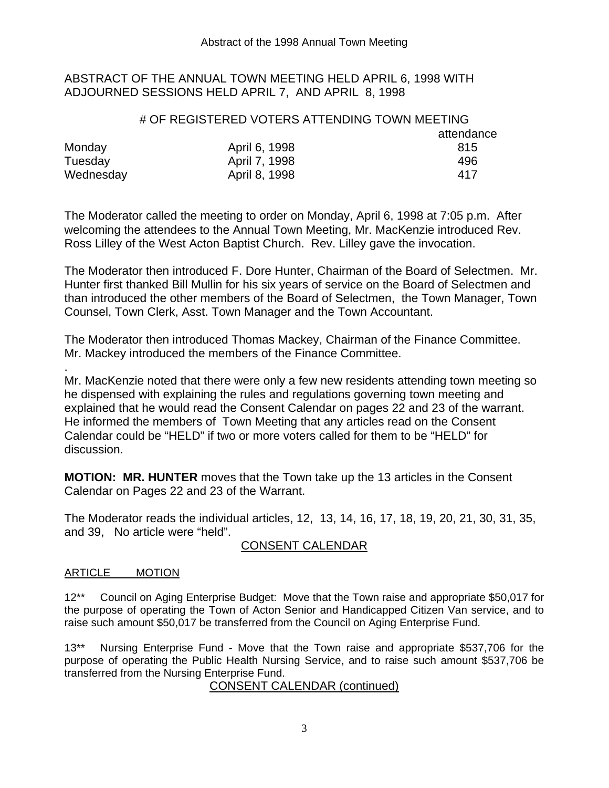#### ABSTRACT OF THE ANNUAL TOWN MEETING HELD APRIL 6, 1998 WITH ADJOURNED SESSIONS HELD APRIL 7, AND APRIL 8, 1998

## # OF REGISTERED VOTERS ATTENDING TOWN MEETING attendance Monday **April 6, 1998** 815 Tuesday **April 7, 1998 1998** 496 Wednesday **April 8, 1998** 417

The Moderator called the meeting to order on Monday, April 6, 1998 at 7:05 p.m. After welcoming the attendees to the Annual Town Meeting, Mr. MacKenzie introduced Rev. Ross Lilley of the West Acton Baptist Church. Rev. Lilley gave the invocation.

The Moderator then introduced F. Dore Hunter, Chairman of the Board of Selectmen. Mr. Hunter first thanked Bill Mullin for his six years of service on the Board of Selectmen and than introduced the other members of the Board of Selectmen, the Town Manager, Town Counsel, Town Clerk, Asst. Town Manager and the Town Accountant.

The Moderator then introduced Thomas Mackey, Chairman of the Finance Committee. Mr. Mackey introduced the members of the Finance Committee.

Mr. MacKenzie noted that there were only a few new residents attending town meeting so he dispensed with explaining the rules and regulations governing town meeting and explained that he would read the Consent Calendar on pages 22 and 23 of the warrant. He informed the members of Town Meeting that any articles read on the Consent Calendar could be "HELD" if two or more voters called for them to be "HELD" for discussion.

**MOTION: MR. HUNTER** moves that the Town take up the 13 articles in the Consent Calendar on Pages 22 and 23 of the Warrant.

The Moderator reads the individual articles, 12, 13, 14, 16, 17, 18, 19, 20, 21, 30, 31, 35, and 39, No article were "held".

# CONSENT CALENDAR

### ARTICLE MOTION

.

12\*\* Council on Aging Enterprise Budget: Move that the Town raise and appropriate \$50,017 for the purpose of operating the Town of Acton Senior and Handicapped Citizen Van service, and to raise such amount \$50,017 be transferred from the Council on Aging Enterprise Fund.

13\*\* Nursing Enterprise Fund - Move that the Town raise and appropriate \$537,706 for the purpose of operating the Public Health Nursing Service, and to raise such amount \$537,706 be transferred from the Nursing Enterprise Fund.

### CONSENT CALENDAR (continued)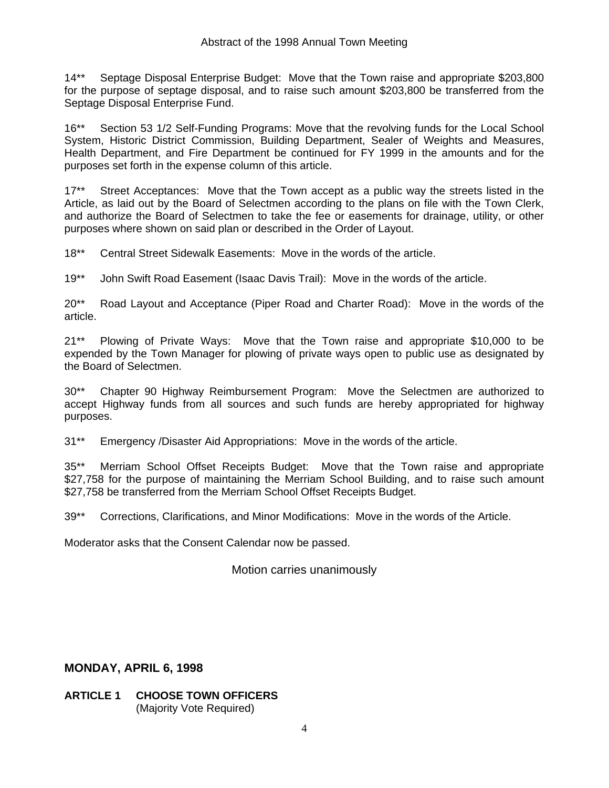14\*\* Septage Disposal Enterprise Budget: Move that the Town raise and appropriate \$203,800 for the purpose of septage disposal, and to raise such amount \$203,800 be transferred from the Septage Disposal Enterprise Fund.

16\*\* Section 53 1/2 Self-Funding Programs: Move that the revolving funds for the Local School System, Historic District Commission, Building Department, Sealer of Weights and Measures, Health Department, and Fire Department be continued for FY 1999 in the amounts and for the purposes set forth in the expense column of this article.

17\*\* Street Acceptances: Move that the Town accept as a public way the streets listed in the Article, as laid out by the Board of Selectmen according to the plans on file with the Town Clerk, and authorize the Board of Selectmen to take the fee or easements for drainage, utility, or other purposes where shown on said plan or described in the Order of Layout.

18\*\* Central Street Sidewalk Easements: Move in the words of the article.

19\*\* John Swift Road Easement (Isaac Davis Trail): Move in the words of the article.

20\*\* Road Layout and Acceptance (Piper Road and Charter Road): Move in the words of the article.

21\*\* Plowing of Private Ways: Move that the Town raise and appropriate \$10,000 to be expended by the Town Manager for plowing of private ways open to public use as designated by the Board of Selectmen.

30\*\* Chapter 90 Highway Reimbursement Program: Move the Selectmen are authorized to accept Highway funds from all sources and such funds are hereby appropriated for highway purposes.

31\*\* Emergency /Disaster Aid Appropriations: Move in the words of the article.

35\*\* Merriam School Offset Receipts Budget: Move that the Town raise and appropriate \$27,758 for the purpose of maintaining the Merriam School Building, and to raise such amount \$27,758 be transferred from the Merriam School Offset Receipts Budget.

39\*\* Corrections, Clarifications, and Minor Modifications: Move in the words of the Article.

Moderator asks that the Consent Calendar now be passed.

Motion carries unanimously

### **MONDAY, APRIL 6, 1998**

**ARTICLE 1 CHOOSE TOWN OFFICERS** (Majority Vote Required)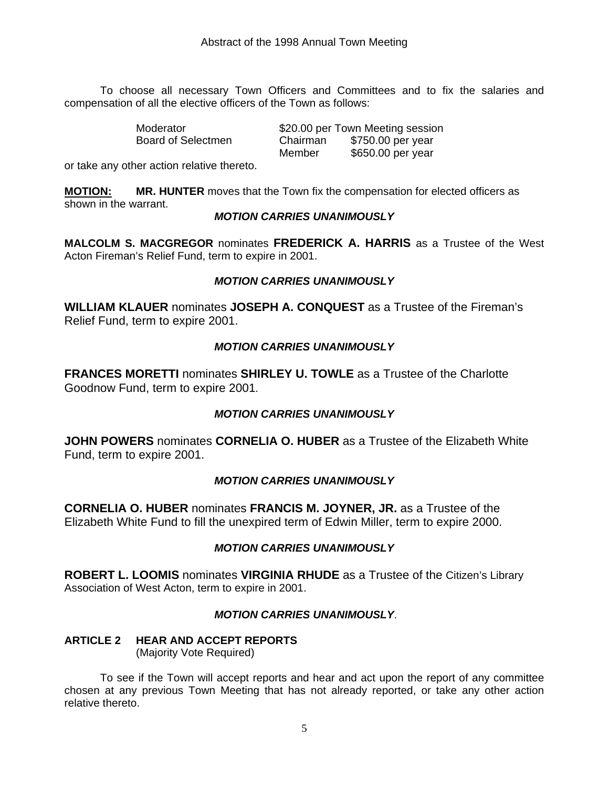To choose all necessary Town Officers and Committees and to fix the salaries and compensation of all the elective officers of the Town as follows:

| Moderator          |          | \$20.00 per Town Meeting session |
|--------------------|----------|----------------------------------|
| Board of Selectmen | Chairman | \$750.00 per year                |
|                    | Member   | \$650.00 per year                |

or take any other action relative thereto.

**MOTION: MR. HUNTER** moves that the Town fix the compensation for elected officers as shown in the warrant.

#### *MOTION CARRIES UNANIMOUSLY*

**MALCOLM S. MACGREGOR** nominates **FREDERICK A. HARRIS** as a Trustee of the West Acton Fireman's Relief Fund, term to expire in 2001.

#### *MOTION CARRIES UNANIMOUSLY*

**WILLIAM KLAUER** nominates **JOSEPH A. CONQUEST** as a Trustee of the Fireman's Relief Fund, term to expire 2001.

#### *MOTION CARRIES UNANIMOUSLY*

**FRANCES MORETTI** nominates **SHIRLEY U. TOWLE** as a Trustee of the Charlotte Goodnow Fund, term to expire 2001.

### *MOTION CARRIES UNANIMOUSLY*

**JOHN POWERS** nominates **CORNELIA O. HUBER** as a Trustee of the Elizabeth White Fund, term to expire 2001.

#### *MOTION CARRIES UNANIMOUSLY*

**CORNELIA O. HUBER** nominates **FRANCIS M. JOYNER, JR.** as a Trustee of the Elizabeth White Fund to fill the unexpired term of Edwin Miller, term to expire 2000.

### *MOTION CARRIES UNANIMOUSLY*

**ROBERT L. LOOMIS** nominates **VIRGINIA RHUDE** as a Trustee of the Citizen's Library Association of West Acton, term to expire in 2001.

#### *MOTION CARRIES UNANIMOUSLY*.

# **ARTICLE 2 HEAR AND ACCEPT REPORTS**

(Majority Vote Required)

 To see if the Town will accept reports and hear and act upon the report of any committee chosen at any previous Town Meeting that has not already reported, or take any other action relative thereto.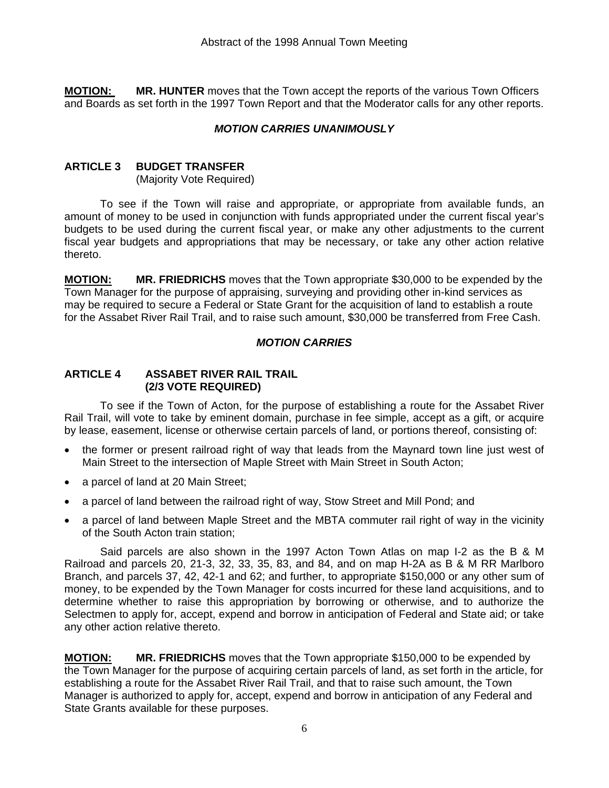**MOTION: MR. HUNTER** moves that the Town accept the reports of the various Town Officers and Boards as set forth in the 1997 Town Report and that the Moderator calls for any other reports.

#### *MOTION CARRIES UNANIMOUSLY*

#### **ARTICLE 3 BUDGET TRANSFER**

(Majority Vote Required)

 To see if the Town will raise and appropriate, or appropriate from available funds, an amount of money to be used in conjunction with funds appropriated under the current fiscal year's budgets to be used during the current fiscal year, or make any other adjustments to the current fiscal year budgets and appropriations that may be necessary, or take any other action relative thereto.

**MOTION: MR. FRIEDRICHS** moves that the Town appropriate \$30,000 to be expended by the Town Manager for the purpose of appraising, surveying and providing other in-kind services as may be required to secure a Federal or State Grant for the acquisition of land to establish a route for the Assabet River Rail Trail, and to raise such amount, \$30,000 be transferred from Free Cash.

#### *MOTION CARRIES*

#### **ARTICLE 4 ASSABET RIVER RAIL TRAIL (2/3 VOTE REQUIRED)**

 To see if the Town of Acton, for the purpose of establishing a route for the Assabet River Rail Trail, will vote to take by eminent domain, purchase in fee simple, accept as a gift, or acquire by lease, easement, license or otherwise certain parcels of land, or portions thereof, consisting of:

- the former or present railroad right of way that leads from the Maynard town line just west of Main Street to the intersection of Maple Street with Main Street in South Acton;
- a parcel of land at 20 Main Street;
- a parcel of land between the railroad right of way, Stow Street and Mill Pond; and
- a parcel of land between Maple Street and the MBTA commuter rail right of way in the vicinity of the South Acton train station;

 Said parcels are also shown in the 1997 Acton Town Atlas on map I-2 as the B & M Railroad and parcels 20, 21-3, 32, 33, 35, 83, and 84, and on map H-2A as B & M RR Marlboro Branch, and parcels 37, 42, 42-1 and 62; and further, to appropriate \$150,000 or any other sum of money, to be expended by the Town Manager for costs incurred for these land acquisitions, and to determine whether to raise this appropriation by borrowing or otherwise, and to authorize the Selectmen to apply for, accept, expend and borrow in anticipation of Federal and State aid; or take any other action relative thereto.

**MOTION: MR. FRIEDRICHS** moves that the Town appropriate \$150,000 to be expended by the Town Manager for the purpose of acquiring certain parcels of land, as set forth in the article, for establishing a route for the Assabet River Rail Trail, and that to raise such amount, the Town Manager is authorized to apply for, accept, expend and borrow in anticipation of any Federal and State Grants available for these purposes.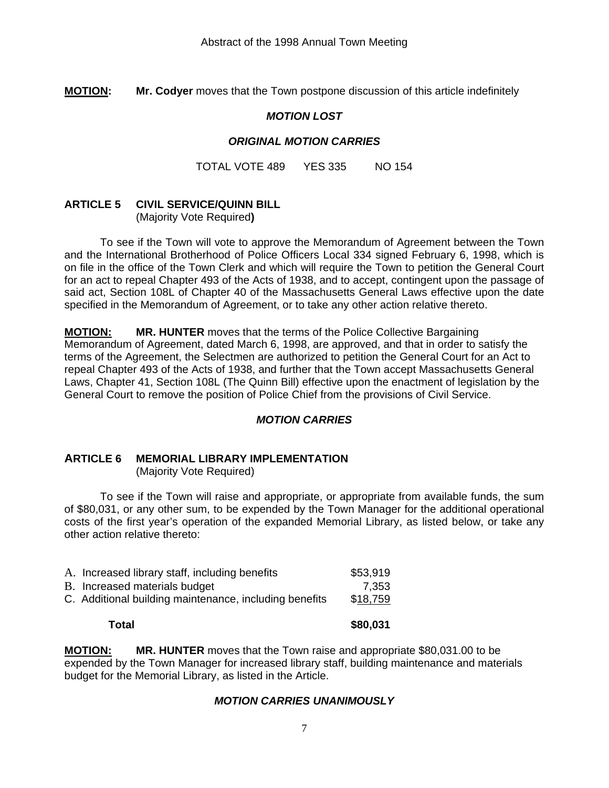**MOTION: Mr. Codyer** moves that the Town postpone discussion of this article indefinitely

#### *MOTION LOST*

#### *ORIGINAL MOTION CARRIES*

TOTAL VOTE 489 YES 335 NO 154

### **ARTICLE 5 CIVIL SERVICE/QUINN BILL**

(Majority Vote Required**)** 

 To see if the Town will vote to approve the Memorandum of Agreement between the Town and the International Brotherhood of Police Officers Local 334 signed February 6, 1998, which is on file in the office of the Town Clerk and which will require the Town to petition the General Court for an act to repeal Chapter 493 of the Acts of 1938, and to accept, contingent upon the passage of said act, Section 108L of Chapter 40 of the Massachusetts General Laws effective upon the date specified in the Memorandum of Agreement, or to take any other action relative thereto.

**MOTION: MR. HUNTER** moves that the terms of the Police Collective Bargaining Memorandum of Agreement, dated March 6, 1998, are approved, and that in order to satisfy the terms of the Agreement, the Selectmen are authorized to petition the General Court for an Act to repeal Chapter 493 of the Acts of 1938, and further that the Town accept Massachusetts General Laws, Chapter 41, Section 108L (The Quinn Bill) effective upon the enactment of legislation by the General Court to remove the position of Police Chief from the provisions of Civil Service.

#### *MOTION CARRIES*

# **ARTICLE 6 MEMORIAL LIBRARY IMPLEMENTATION**

(Majority Vote Required)

 To see if the Town will raise and appropriate, or appropriate from available funds, the sum of \$80,031, or any other sum, to be expended by the Town Manager for the additional operational costs of the first year's operation of the expanded Memorial Library, as listed below, or take any other action relative thereto:

| Total                                                  | \$80,031 |
|--------------------------------------------------------|----------|
| C. Additional building maintenance, including benefits | \$18,759 |
| B. Increased materials budget                          | 7,353    |
| A. Increased library staff, including benefits         | \$53,919 |

**MOTION: MR. HUNTER** moves that the Town raise and appropriate \$80,031.00 to be expended by the Town Manager for increased library staff, building maintenance and materials budget for the Memorial Library, as listed in the Article.

#### *MOTION CARRIES UNANIMOUSLY*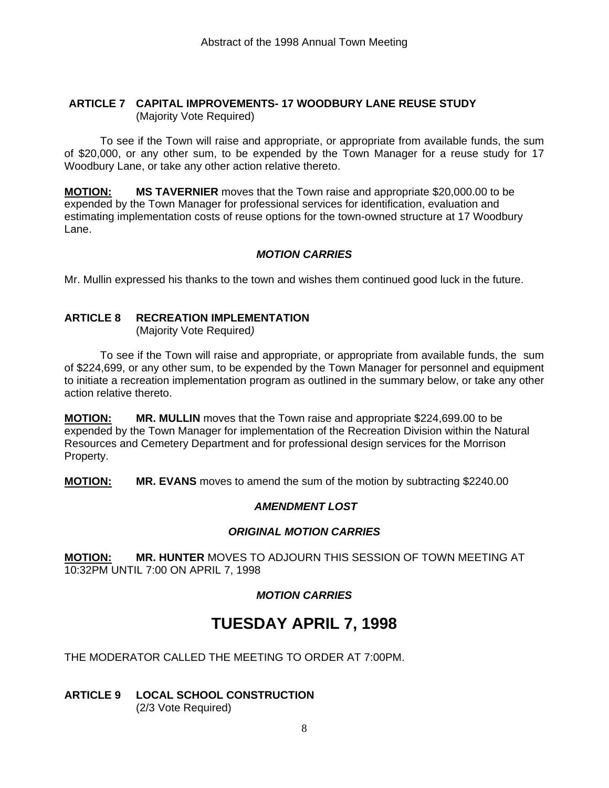#### **ARTICLE 7 CAPITAL IMPROVEMENTS- 17 WOODBURY LANE REUSE STUDY**  (Majority Vote Required)

 To see if the Town will raise and appropriate, or appropriate from available funds, the sum of \$20,000, or any other sum, to be expended by the Town Manager for a reuse study for 17 Woodbury Lane, or take any other action relative thereto.

**MOTION: MS TAVERNIER** moves that the Town raise and appropriate \$20,000.00 to be expended by the Town Manager for professional services for identification, evaluation and estimating implementation costs of reuse options for the town-owned structure at 17 Woodbury Lane.

## *MOTION CARRIES*

Mr. Mullin expressed his thanks to the town and wishes them continued good luck in the future.

### **ARTICLE 8 RECREATION IMPLEMENTATION**

(Majority Vote Required*)* 

 To see if the Town will raise and appropriate, or appropriate from available funds, the sum of \$224,699, or any other sum, to be expended by the Town Manager for personnel and equipment to initiate a recreation implementation program as outlined in the summary below, or take any other action relative thereto.

**MOTION: MR. MULLIN** moves that the Town raise and appropriate \$224,699.00 to be expended by the Town Manager for implementation of the Recreation Division within the Natural Resources and Cemetery Department and for professional design services for the Morrison Property.

**MOTION: MR. EVANS** moves to amend the sum of the motion by subtracting \$2240.00

### *AMENDMENT LOST*

### *ORIGINAL MOTION CARRIES*

**MOTION: MR. HUNTER** MOVES TO ADJOURN THIS SESSION OF TOWN MEETING AT 10:32PM UNTIL 7:00 ON APRIL 7, 1998

# *MOTION CARRIES*

# **TUESDAY APRIL 7, 1998**

THE MODERATOR CALLED THE MEETING TO ORDER AT 7:00PM.

# **ARTICLE 9 LOCAL SCHOOL CONSTRUCTION**

(2/3 Vote Required)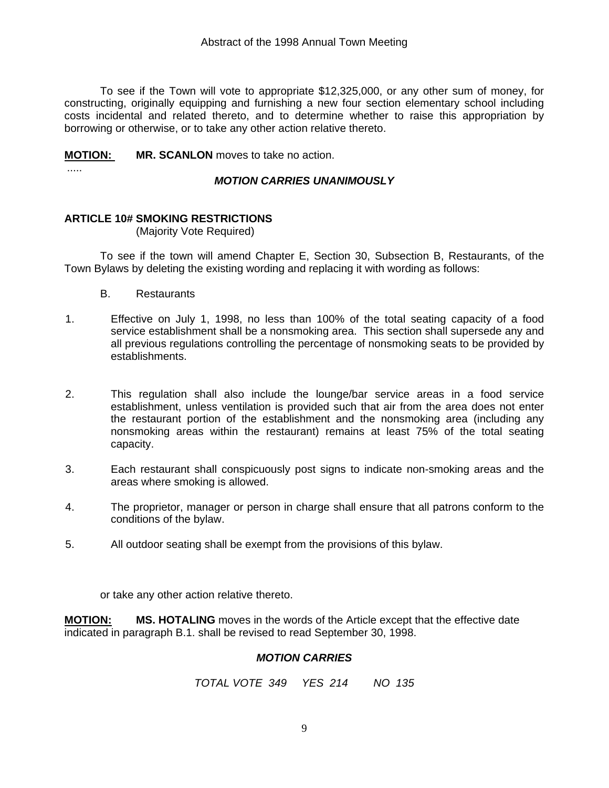To see if the Town will vote to appropriate \$12,325,000, or any other sum of money, for constructing, originally equipping and furnishing a new four section elementary school including costs incidental and related thereto, and to determine whether to raise this appropriation by borrowing or otherwise, or to take any other action relative thereto.

#### **MOTION: MR. SCANLON** moves to take no action.

.....

# *MOTION CARRIES UNANIMOUSLY*

### **ARTICLE 10# SMOKING RESTRICTIONS**

#### (Majority Vote Required)

 To see if the town will amend Chapter E, Section 30, Subsection B, Restaurants, of the Town Bylaws by deleting the existing wording and replacing it with wording as follows:

- B. Restaurants
- 1. Effective on July 1, 1998, no less than 100% of the total seating capacity of a food service establishment shall be a nonsmoking area. This section shall supersede any and all previous regulations controlling the percentage of nonsmoking seats to be provided by establishments.
- 2. This regulation shall also include the lounge/bar service areas in a food service establishment, unless ventilation is provided such that air from the area does not enter the restaurant portion of the establishment and the nonsmoking area (including any nonsmoking areas within the restaurant) remains at least 75% of the total seating capacity.
- 3. Each restaurant shall conspicuously post signs to indicate non-smoking areas and the areas where smoking is allowed.
- 4. The proprietor, manager or person in charge shall ensure that all patrons conform to the conditions of the bylaw.
- 5. All outdoor seating shall be exempt from the provisions of this bylaw.

or take any other action relative thereto.

**MOTION: MS. HOTALING** moves in the words of the Article except that the effective date indicated in paragraph B.1. shall be revised to read September 30, 1998.

#### *MOTION CARRIES*

*TOTAL VOTE 349 YES 214 NO 135*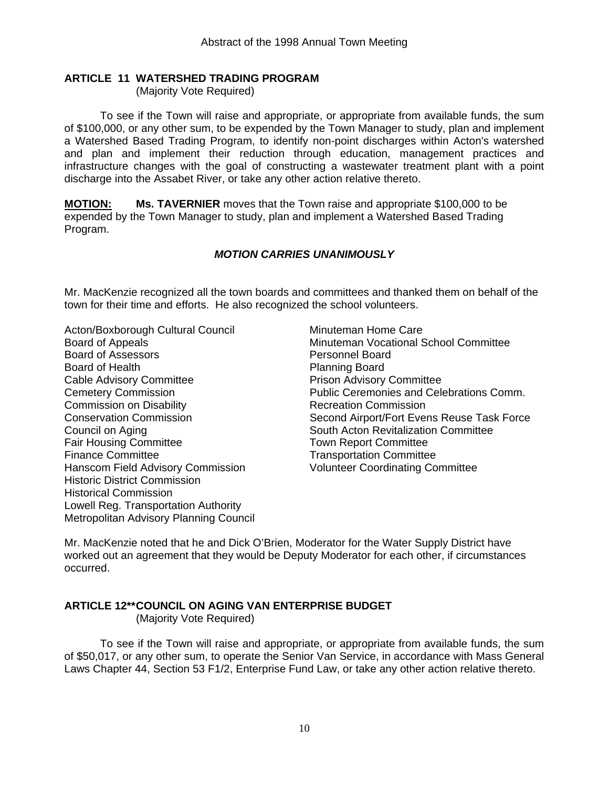#### **ARTICLE 11 WATERSHED TRADING PROGRAM**

(Majority Vote Required)

 To see if the Town will raise and appropriate, or appropriate from available funds, the sum of \$100,000, or any other sum, to be expended by the Town Manager to study, plan and implement a Watershed Based Trading Program, to identify non-point discharges within Acton's watershed and plan and implement their reduction through education, management practices and infrastructure changes with the goal of constructing a wastewater treatment plant with a point discharge into the Assabet River, or take any other action relative thereto.

**MOTION: Ms. TAVERNIER** moves that the Town raise and appropriate \$100,000 to be expended by the Town Manager to study, plan and implement a Watershed Based Trading Program.

#### *MOTION CARRIES UNANIMOUSLY*

Mr. MacKenzie recognized all the town boards and committees and thanked them on behalf of the town for their time and efforts. He also recognized the school volunteers.

Acton/Boxborough Cultural Council Minuteman Home Care Board of Assessors **Personnel Board** Board of Health **Planning Board** Cable Advisory Committee **Prison Advisory Committee** Commission on Disability Recreation Commission Council on Aging South Acton Revitalization Committee Fair Housing Committee The Town Report Committee Finance Committee **Transportation** Committee Hanscom Field Advisory Commission Volunteer Coordinating Committee Historic District Commission Historical Commission Lowell Reg. Transportation Authority Metropolitan Advisory Planning Council

Board of Appeals Minuteman Vocational School Committee Cemetery Commission Public Ceremonies and Celebrations Comm. Conservation Commission The Second Airport/Fort Evens Reuse Task Force

Mr. MacKenzie noted that he and Dick O'Brien, Moderator for the Water Supply District have worked out an agreement that they would be Deputy Moderator for each other, if circumstances occurred.

### **ARTICLE 12\*\* COUNCIL ON AGING VAN ENTERPRISE BUDGET**

(Majority Vote Required)

 To see if the Town will raise and appropriate, or appropriate from available funds, the sum of \$50,017, or any other sum, to operate the Senior Van Service, in accordance with Mass General Laws Chapter 44, Section 53 F1/2, Enterprise Fund Law, or take any other action relative thereto.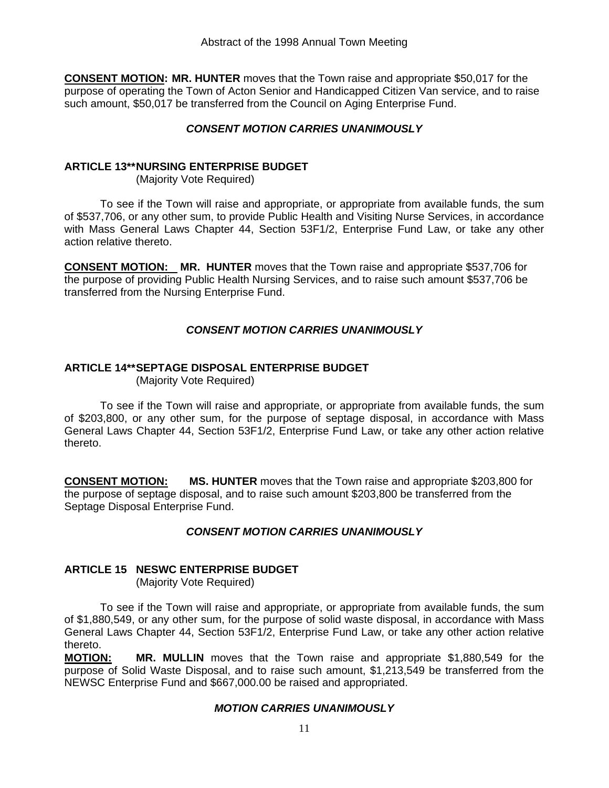**CONSENT MOTION: MR. HUNTER** moves that the Town raise and appropriate \$50,017 for the purpose of operating the Town of Acton Senior and Handicapped Citizen Van service, and to raise such amount, \$50,017 be transferred from the Council on Aging Enterprise Fund.

#### *CONSENT MOTION CARRIES UNANIMOUSLY*

#### **ARTICLE 13\*\* NURSING ENTERPRISE BUDGET**

(Majority Vote Required)

 To see if the Town will raise and appropriate, or appropriate from available funds, the sum of \$537,706, or any other sum, to provide Public Health and Visiting Nurse Services, in accordance with Mass General Laws Chapter 44, Section 53F1/2, Enterprise Fund Law, or take any other action relative thereto.

**CONSENT MOTION: MR. HUNTER** moves that the Town raise and appropriate \$537,706 for the purpose of providing Public Health Nursing Services, and to raise such amount \$537,706 be transferred from the Nursing Enterprise Fund.

#### *CONSENT MOTION CARRIES UNANIMOUSLY*

#### **ARTICLE 14\*\* SEPTAGE DISPOSAL ENTERPRISE BUDGET**

(Majority Vote Required)

 To see if the Town will raise and appropriate, or appropriate from available funds, the sum of \$203,800, or any other sum, for the purpose of septage disposal, in accordance with Mass General Laws Chapter 44, Section 53F1/2, Enterprise Fund Law, or take any other action relative thereto.

**CONSENT MOTION: MS. HUNTER** moves that the Town raise and appropriate \$203,800 for the purpose of septage disposal, and to raise such amount \$203,800 be transferred from the Septage Disposal Enterprise Fund.

#### *CONSENT MOTION CARRIES UNANIMOUSLY*

#### **ARTICLE 15 NESWC ENTERPRISE BUDGET**

(Majority Vote Required)

 To see if the Town will raise and appropriate, or appropriate from available funds, the sum of \$1,880,549, or any other sum, for the purpose of solid waste disposal, in accordance with Mass General Laws Chapter 44, Section 53F1/2, Enterprise Fund Law, or take any other action relative thereto.

**MOTION: MR. MULLIN** moves that the Town raise and appropriate \$1,880,549 for the purpose of Solid Waste Disposal, and to raise such amount, \$1,213,549 be transferred from the NEWSC Enterprise Fund and \$667,000.00 be raised and appropriated.

#### *MOTION CARRIES UNANIMOUSLY*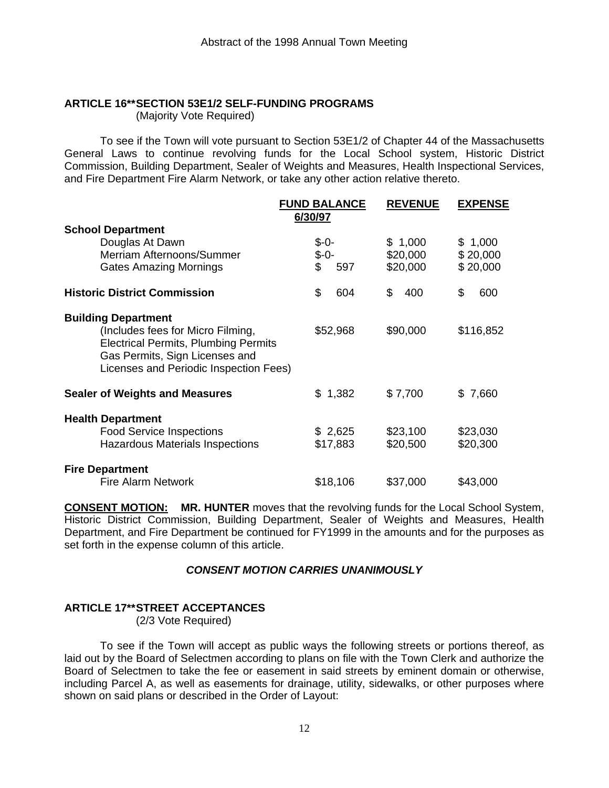## **ARTICLE 16\*\* SECTION 53E1/2 SELF-FUNDING PROGRAMS**

(Majority Vote Required)

 To see if the Town will vote pursuant to Section 53E1/2 of Chapter 44 of the Massachusetts General Laws to continue revolving funds for the Local School system, Historic District Commission, Building Department, Sealer of Weights and Measures, Health Inspectional Services, and Fire Department Fire Alarm Network, or take any other action relative thereto.

|                                                                                                                                                                                            | <b>FUND BALANCE</b><br>6/30/97  | <b>REVENUE</b>                  | <b>EXPENSE</b>                  |
|--------------------------------------------------------------------------------------------------------------------------------------------------------------------------------------------|---------------------------------|---------------------------------|---------------------------------|
| <b>School Department</b><br>Douglas At Dawn<br>Merriam Afternoons/Summer<br><b>Gates Amazing Mornings</b>                                                                                  | $$ -0-$<br>$$ -0-$<br>\$<br>597 | \$1,000<br>\$20,000<br>\$20,000 | \$1,000<br>\$20,000<br>\$20,000 |
| <b>Historic District Commission</b>                                                                                                                                                        | \$<br>604                       | \$<br>400                       | \$<br>600                       |
| <b>Building Department</b><br>(Includes fees for Micro Filming,<br><b>Electrical Permits, Plumbing Permits</b><br>Gas Permits, Sign Licenses and<br>Licenses and Periodic Inspection Fees) | \$52,968                        | \$90,000                        | \$116,852                       |
| <b>Sealer of Weights and Measures</b>                                                                                                                                                      | \$1,382                         | \$7,700                         | \$7,660                         |
| <b>Health Department</b><br><b>Food Service Inspections</b><br><b>Hazardous Materials Inspections</b>                                                                                      | \$2,625<br>\$17,883             | \$23,100<br>\$20,500            | \$23,030<br>\$20,300            |
| <b>Fire Department</b><br><b>Fire Alarm Network</b>                                                                                                                                        | \$18,106                        | \$37,000                        | \$43,000                        |

**CONSENT MOTION: MR. HUNTER** moves that the revolving funds for the Local School System, Historic District Commission, Building Department, Sealer of Weights and Measures, Health Department, and Fire Department be continued for FY1999 in the amounts and for the purposes as set forth in the expense column of this article.

#### *CONSENT MOTION CARRIES UNANIMOUSLY*

#### **ARTICLE 17\*\* STREET ACCEPTANCES**

(2/3 Vote Required)

 To see if the Town will accept as public ways the following streets or portions thereof, as laid out by the Board of Selectmen according to plans on file with the Town Clerk and authorize the Board of Selectmen to take the fee or easement in said streets by eminent domain or otherwise, including Parcel A, as well as easements for drainage, utility, sidewalks, or other purposes where shown on said plans or described in the Order of Layout: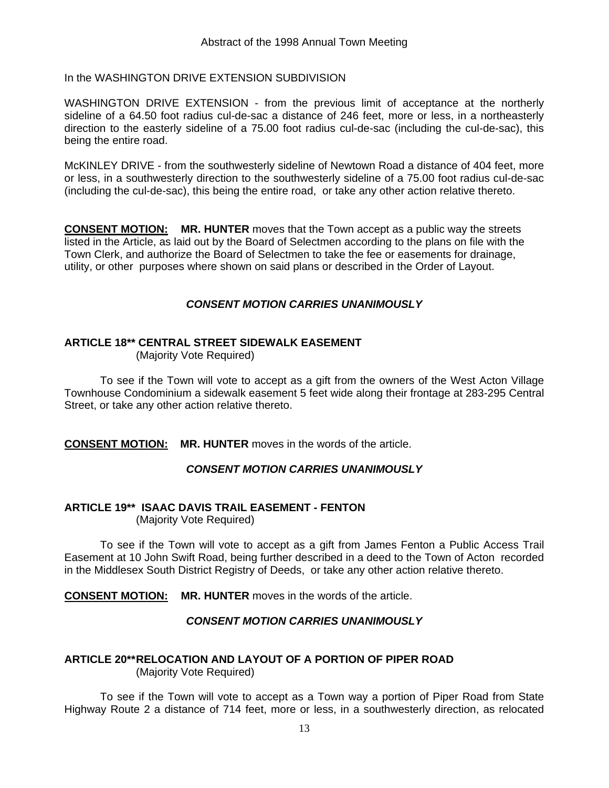In the WASHINGTON DRIVE EXTENSION SUBDIVISION

WASHINGTON DRIVE EXTENSION - from the previous limit of acceptance at the northerly sideline of a 64.50 foot radius cul-de-sac a distance of 246 feet, more or less, in a northeasterly direction to the easterly sideline of a 75.00 foot radius cul-de-sac (including the cul-de-sac), this being the entire road.

McKINLEY DRIVE - from the southwesterly sideline of Newtown Road a distance of 404 feet, more or less, in a southwesterly direction to the southwesterly sideline of a 75.00 foot radius cul-de-sac (including the cul-de-sac), this being the entire road, or take any other action relative thereto.

**CONSENT MOTION: MR. HUNTER** moves that the Town accept as a public way the streets listed in the Article, as laid out by the Board of Selectmen according to the plans on file with the Town Clerk, and authorize the Board of Selectmen to take the fee or easements for drainage, utility, or other purposes where shown on said plans or described in the Order of Layout.

#### *CONSENT MOTION CARRIES UNANIMOUSLY*

#### **ARTICLE 18\*\* CENTRAL STREET SIDEWALK EASEMENT**

(Majority Vote Required)

 To see if the Town will vote to accept as a gift from the owners of the West Acton Village Townhouse Condominium a sidewalk easement 5 feet wide along their frontage at 283-295 Central Street, or take any other action relative thereto.

**CONSENT MOTION: MR. HUNTER** moves in the words of the article.

#### *CONSENT MOTION CARRIES UNANIMOUSLY*

#### **ARTICLE 19\*\* ISAAC DAVIS TRAIL EASEMENT - FENTON**

(Majority Vote Required)

 To see if the Town will vote to accept as a gift from James Fenton a Public Access Trail Easement at 10 John Swift Road, being further described in a deed to the Town of Acton recorded in the Middlesex South District Registry of Deeds, or take any other action relative thereto.

**CONSENT MOTION: MR. HUNTER** moves in the words of the article.

#### *CONSENT MOTION CARRIES UNANIMOUSLY*

#### **ARTICLE 20\*\* RELOCATION AND LAYOUT OF A PORTION OF PIPER ROAD**  (Majority Vote Required)

 To see if the Town will vote to accept as a Town way a portion of Piper Road from State Highway Route 2 a distance of 714 feet, more or less, in a southwesterly direction, as relocated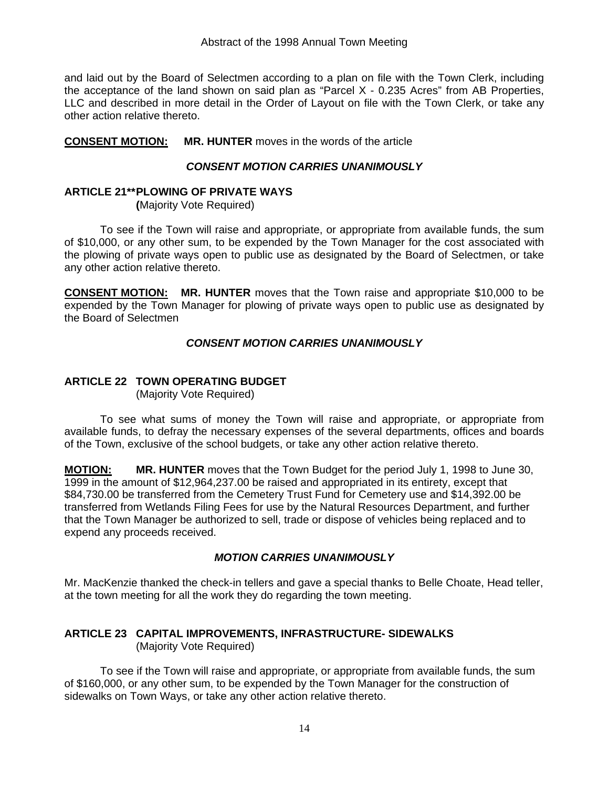and laid out by the Board of Selectmen according to a plan on file with the Town Clerk, including the acceptance of the land shown on said plan as "Parcel X - 0.235 Acres" from AB Properties, LLC and described in more detail in the Order of Layout on file with the Town Clerk, or take any other action relative thereto.

**CONSENT MOTION: MR. HUNTER** moves in the words of the article

#### *CONSENT MOTION CARRIES UNANIMOUSLY*

#### **ARTICLE 21\*\* PLOWING OF PRIVATE WAYS**

 **(**Majority Vote Required)

 To see if the Town will raise and appropriate, or appropriate from available funds, the sum of \$10,000, or any other sum, to be expended by the Town Manager for the cost associated with the plowing of private ways open to public use as designated by the Board of Selectmen, or take any other action relative thereto.

**CONSENT MOTION: MR. HUNTER** moves that the Town raise and appropriate \$10,000 to be expended by the Town Manager for plowing of private ways open to public use as designated by the Board of Selectmen

#### *CONSENT MOTION CARRIES UNANIMOUSLY*

#### **ARTICLE 22 TOWN OPERATING BUDGET**

(Majority Vote Required)

 To see what sums of money the Town will raise and appropriate, or appropriate from available funds, to defray the necessary expenses of the several departments, offices and boards of the Town, exclusive of the school budgets, or take any other action relative thereto.

**MOTION: MR. HUNTER** moves that the Town Budget for the period July 1, 1998 to June 30, 1999 in the amount of \$12,964,237.00 be raised and appropriated in its entirety, except that \$84,730.00 be transferred from the Cemetery Trust Fund for Cemetery use and \$14,392.00 be transferred from Wetlands Filing Fees for use by the Natural Resources Department, and further that the Town Manager be authorized to sell, trade or dispose of vehicles being replaced and to expend any proceeds received.

#### *MOTION CARRIES UNANIMOUSLY*

Mr. MacKenzie thanked the check-in tellers and gave a special thanks to Belle Choate, Head teller, at the town meeting for all the work they do regarding the town meeting.

#### **ARTICLE 23 CAPITAL IMPROVEMENTS, INFRASTRUCTURE- SIDEWALKS**  (Majority Vote Required)

 To see if the Town will raise and appropriate, or appropriate from available funds, the sum of \$160,000, or any other sum, to be expended by the Town Manager for the construction of sidewalks on Town Ways, or take any other action relative thereto.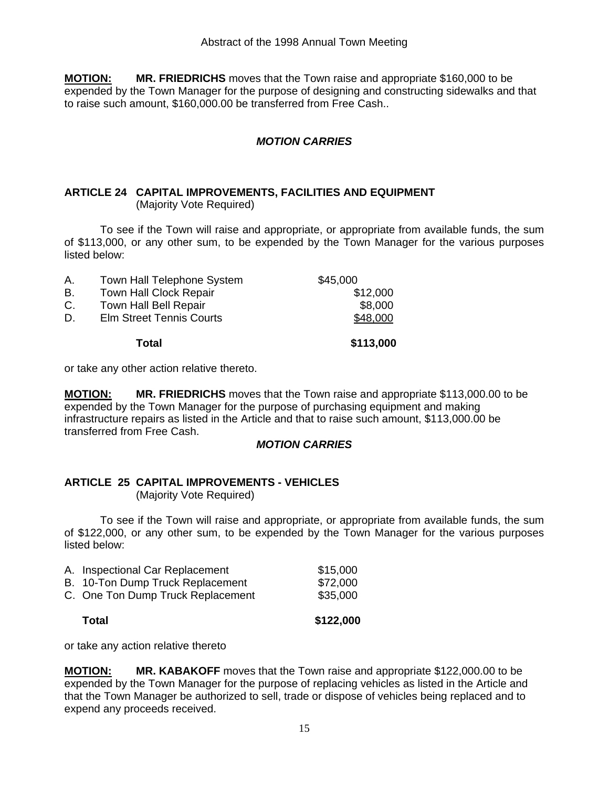**MOTION: MR. FRIEDRICHS** moves that the Town raise and appropriate \$160,000 to be expended by the Town Manager for the purpose of designing and constructing sidewalks and that to raise such amount, \$160,000.00 be transferred from Free Cash..

#### *MOTION CARRIES*

#### **ARTICLE 24 CAPITAL IMPROVEMENTS, FACILITIES AND EQUIPMENT**  (Majority Vote Required)

 To see if the Town will raise and appropriate, or appropriate from available funds, the sum of \$113,000, or any other sum, to be expended by the Town Manager for the various purposes listed below:

| D. | <b>Elm Street Tennis Courts</b> | \$48,000 |
|----|---------------------------------|----------|
| C. | <b>Town Hall Bell Repair</b>    | \$8,000  |
| В. | <b>Town Hall Clock Repair</b>   | \$12,000 |
| Α. | Town Hall Telephone System      | \$45,000 |

or take any other action relative thereto.

**MOTION: MR. FRIEDRICHS** moves that the Town raise and appropriate \$113,000.00 to be expended by the Town Manager for the purpose of purchasing equipment and making infrastructure repairs as listed in the Article and that to raise such amount, \$113,000.00 be transferred from Free Cash.

#### *MOTION CARRIES*

#### **ARTICLE 25 CAPITAL IMPROVEMENTS - VEHICLES**  (Majority Vote Required)

 To see if the Town will raise and appropriate, or appropriate from available funds, the sum of \$122,000, or any other sum, to be expended by the Town Manager for the various purposes listed below:

| Total                             | \$122,000 |
|-----------------------------------|-----------|
| C. One Ton Dump Truck Replacement | \$35,000  |
| B. 10-Ton Dump Truck Replacement  | \$72,000  |
| A. Inspectional Car Replacement   | \$15,000  |

or take any action relative thereto

**MOTION: MR. KABAKOFF** moves that the Town raise and appropriate \$122,000.00 to be expended by the Town Manager for the purpose of replacing vehicles as listed in the Article and that the Town Manager be authorized to sell, trade or dispose of vehicles being replaced and to expend any proceeds received.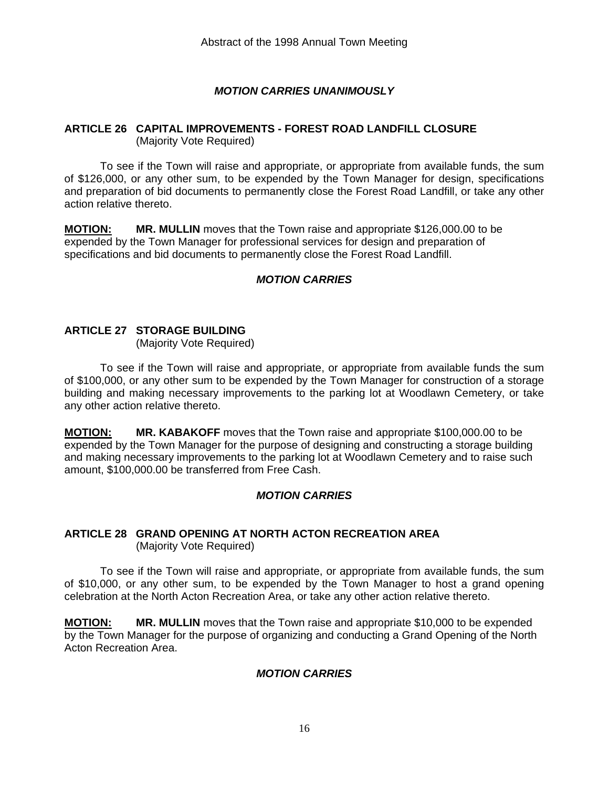#### *MOTION CARRIES UNANIMOUSLY*

#### **ARTICLE 26 CAPITAL IMPROVEMENTS - FOREST ROAD LANDFILL CLOSURE**  (Majority Vote Required)

 To see if the Town will raise and appropriate, or appropriate from available funds, the sum of \$126,000, or any other sum, to be expended by the Town Manager for design, specifications and preparation of bid documents to permanently close the Forest Road Landfill, or take any other action relative thereto.

**MOTION: MR. MULLIN** moves that the Town raise and appropriate \$126,000.00 to be expended by the Town Manager for professional services for design and preparation of specifications and bid documents to permanently close the Forest Road Landfill.

#### *MOTION CARRIES*

#### **ARTICLE 27 STORAGE BUILDING**

(Majority Vote Required)

 To see if the Town will raise and appropriate, or appropriate from available funds the sum of \$100,000, or any other sum to be expended by the Town Manager for construction of a storage building and making necessary improvements to the parking lot at Woodlawn Cemetery, or take any other action relative thereto.

**MOTION: MR. KABAKOFF** moves that the Town raise and appropriate \$100,000.00 to be expended by the Town Manager for the purpose of designing and constructing a storage building and making necessary improvements to the parking lot at Woodlawn Cemetery and to raise such amount, \$100,000.00 be transferred from Free Cash.

#### *MOTION CARRIES*

#### **ARTICLE 28 GRAND OPENING AT NORTH ACTON RECREATION AREA**  (Majority Vote Required)

 To see if the Town will raise and appropriate, or appropriate from available funds, the sum of \$10,000, or any other sum, to be expended by the Town Manager to host a grand opening celebration at the North Acton Recreation Area, or take any other action relative thereto.

**MOTION: MR. MULLIN** moves that the Town raise and appropriate \$10,000 to be expended by the Town Manager for the purpose of organizing and conducting a Grand Opening of the North Acton Recreation Area.

#### *MOTION CARRIES*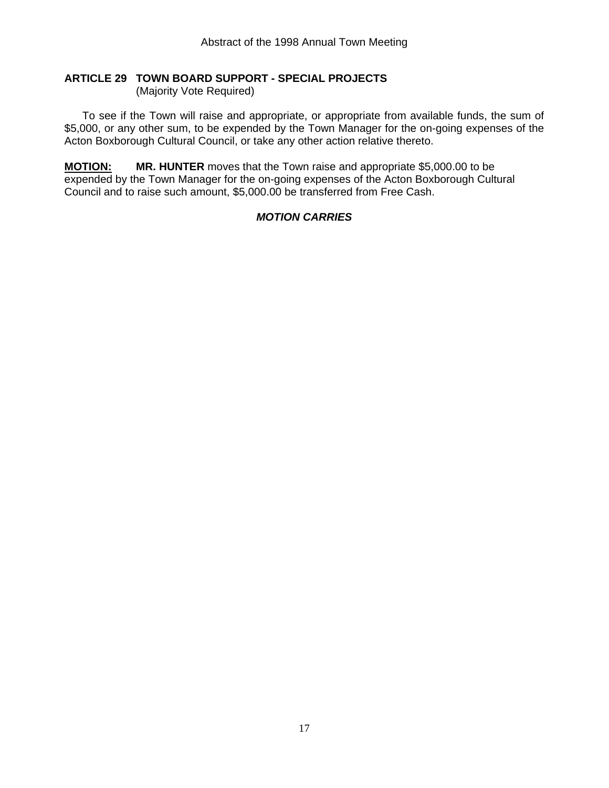## **ARTICLE 29 TOWN BOARD SUPPORT - SPECIAL PROJECTS**

(Majority Vote Required)

 To see if the Town will raise and appropriate, or appropriate from available funds, the sum of \$5,000, or any other sum, to be expended by the Town Manager for the on-going expenses of the Acton Boxborough Cultural Council, or take any other action relative thereto.

**MOTION: MR. HUNTER** moves that the Town raise and appropriate \$5,000.00 to be expended by the Town Manager for the on-going expenses of the Acton Boxborough Cultural Council and to raise such amount, \$5,000.00 be transferred from Free Cash.

### *MOTION CARRIES*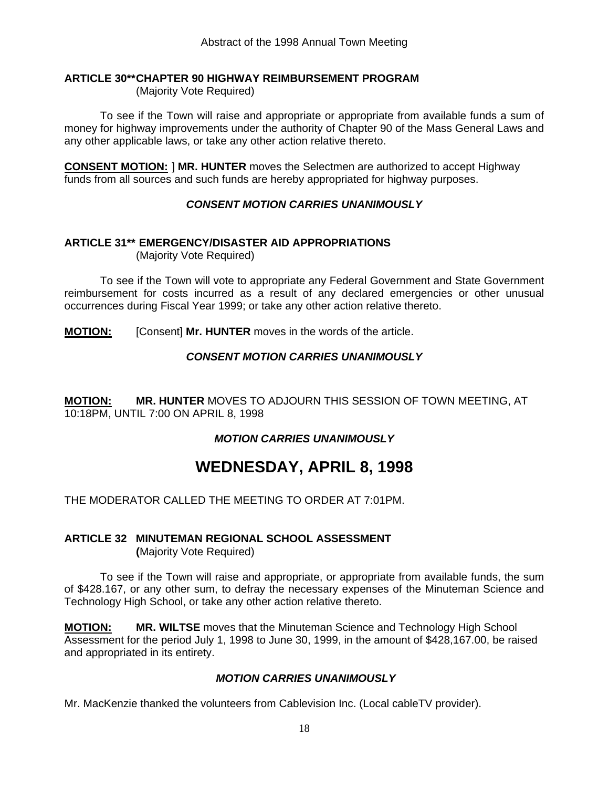#### **ARTICLE 30\*\* CHAPTER 90 HIGHWAY REIMBURSEMENT PROGRAM**

(Majority Vote Required)

 To see if the Town will raise and appropriate or appropriate from available funds a sum of money for highway improvements under the authority of Chapter 90 of the Mass General Laws and any other applicable laws, or take any other action relative thereto.

**CONSENT MOTION:** ] **MR. HUNTER** moves the Selectmen are authorized to accept Highway funds from all sources and such funds are hereby appropriated for highway purposes.

### *CONSENT MOTION CARRIES UNANIMOUSLY*

#### **ARTICLE 31\*\* EMERGENCY/DISASTER AID APPROPRIATIONS**

(Majority Vote Required)

 To see if the Town will vote to appropriate any Federal Government and State Government reimbursement for costs incurred as a result of any declared emergencies or other unusual occurrences during Fiscal Year 1999; or take any other action relative thereto.

**MOTION:** [Consent] **Mr. HUNTER** moves in the words of the article.

### *CONSENT MOTION CARRIES UNANIMOUSLY*

**MOTION: MR. HUNTER** MOVES TO ADJOURN THIS SESSION OF TOWN MEETING, AT 10:18PM, UNTIL 7:00 ON APRIL 8, 1998

### *MOTION CARRIES UNANIMOUSLY*

# **WEDNESDAY, APRIL 8, 1998**

THE MODERATOR CALLED THE MEETING TO ORDER AT 7:01PM.

# **ARTICLE 32 MINUTEMAN REGIONAL SCHOOL ASSESSMENT**

 **(**Majority Vote Required)

 To see if the Town will raise and appropriate, or appropriate from available funds, the sum of \$428.167, or any other sum, to defray the necessary expenses of the Minuteman Science and Technology High School, or take any other action relative thereto.

**MOTION: MR. WILTSE** moves that the Minuteman Science and Technology High School Assessment for the period July 1, 1998 to June 30, 1999, in the amount of \$428,167.00, be raised and appropriated in its entirety.

### *MOTION CARRIES UNANIMOUSLY*

Mr. MacKenzie thanked the volunteers from Cablevision Inc. (Local cableTV provider).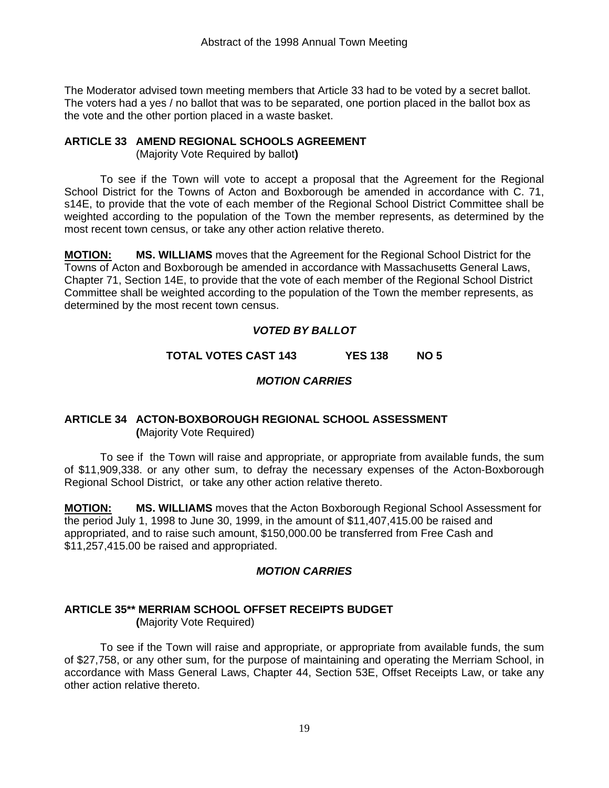The Moderator advised town meeting members that Article 33 had to be voted by a secret ballot. The voters had a yes / no ballot that was to be separated, one portion placed in the ballot box as the vote and the other portion placed in a waste basket.

#### **ARTICLE 33 AMEND REGIONAL SCHOOLS AGREEMENT**

(Majority Vote Required by ballot**)** 

 To see if the Town will vote to accept a proposal that the Agreement for the Regional School District for the Towns of Acton and Boxborough be amended in accordance with C. 71, s14E, to provide that the vote of each member of the Regional School District Committee shall be weighted according to the population of the Town the member represents, as determined by the most recent town census, or take any other action relative thereto.

**MOTION: MS. WILLIAMS** moves that the Agreement for the Regional School District for the Towns of Acton and Boxborough be amended in accordance with Massachusetts General Laws, Chapter 71, Section 14E, to provide that the vote of each member of the Regional School District Committee shall be weighted according to the population of the Town the member represents, as determined by the most recent town census.

### *VOTED BY BALLOT*

### **TOTAL VOTES CAST 143 YES 138 NO 5**

### *MOTION CARRIES*

#### **ARTICLE 34 ACTON-BOXBOROUGH REGIONAL SCHOOL ASSESSMENT (**Majority Vote Required)

 To see if the Town will raise and appropriate, or appropriate from available funds, the sum of \$11,909,338. or any other sum, to defray the necessary expenses of the Acton-Boxborough Regional School District, or take any other action relative thereto.

**MOTION: MS. WILLIAMS** moves that the Acton Boxborough Regional School Assessment for the period July 1, 1998 to June 30, 1999, in the amount of \$11,407,415.00 be raised and appropriated, and to raise such amount, \$150,000.00 be transferred from Free Cash and \$11,257,415.00 be raised and appropriated.

### *MOTION CARRIES*

### **ARTICLE 35\*\* MERRIAM SCHOOL OFFSET RECEIPTS BUDGET**

 **(**Majority Vote Required)

 To see if the Town will raise and appropriate, or appropriate from available funds, the sum of \$27,758, or any other sum, for the purpose of maintaining and operating the Merriam School, in accordance with Mass General Laws, Chapter 44, Section 53E, Offset Receipts Law, or take any other action relative thereto.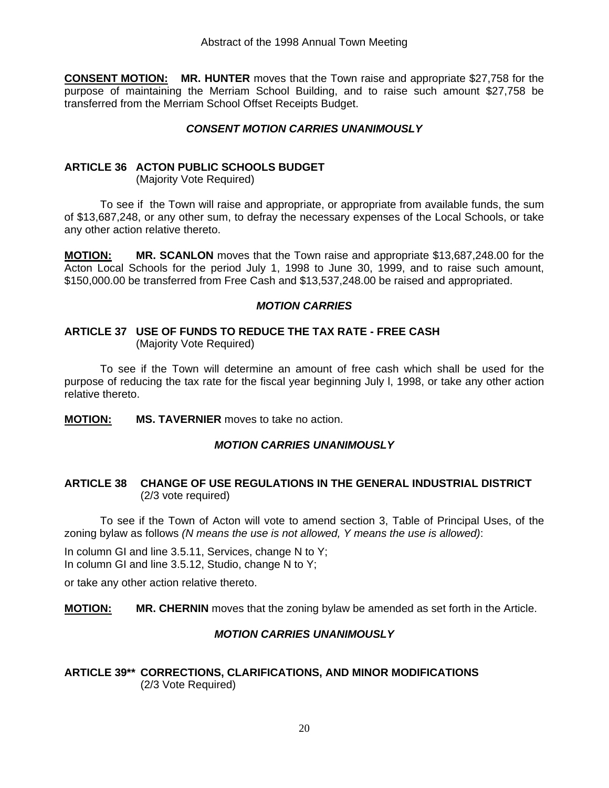**CONSENT MOTION: MR. HUNTER** moves that the Town raise and appropriate \$27,758 for the purpose of maintaining the Merriam School Building, and to raise such amount \$27,758 be transferred from the Merriam School Offset Receipts Budget.

#### *CONSENT MOTION CARRIES UNANIMOUSLY*

#### **ARTICLE 36 ACTON PUBLIC SCHOOLS BUDGET**

(Majority Vote Required)

 To see if the Town will raise and appropriate, or appropriate from available funds, the sum of \$13,687,248, or any other sum, to defray the necessary expenses of the Local Schools, or take any other action relative thereto.

**MOTION: MR. SCANLON** moves that the Town raise and appropriate \$13,687,248.00 for the Acton Local Schools for the period July 1, 1998 to June 30, 1999, and to raise such amount, \$150,000.00 be transferred from Free Cash and \$13,537,248.00 be raised and appropriated.

#### *MOTION CARRIES*

#### **ARTICLE 37 USE OF FUNDS TO REDUCE THE TAX RATE - FREE CASH** (Majority Vote Required)

 To see if the Town will determine an amount of free cash which shall be used for the purpose of reducing the tax rate for the fiscal year beginning July l, 1998, or take any other action relative thereto.

**MOTION: MS. TAVERNIER** moves to take no action.

#### *MOTION CARRIES UNANIMOUSLY*

#### **ARTICLE 38 CHANGE OF USE REGULATIONS IN THE GENERAL INDUSTRIAL DISTRICT**  (2/3 vote required)

 To see if the Town of Acton will vote to amend section 3, Table of Principal Uses, of the zoning bylaw as follows *(N means the use is not allowed, Y means the use is allowed)*:

In column GI and line 3.5.11, Services, change N to Y; In column GI and line 3.5.12, Studio, change N to Y;

or take any other action relative thereto.

**MOTION: MR. CHERNIN** moves that the zoning bylaw be amended as set forth in the Article.

#### *MOTION CARRIES UNANIMOUSLY*

#### **ARTICLE 39\*\* CORRECTIONS, CLARIFICATIONS, AND MINOR MODIFICATIONS**  (2/3 Vote Required)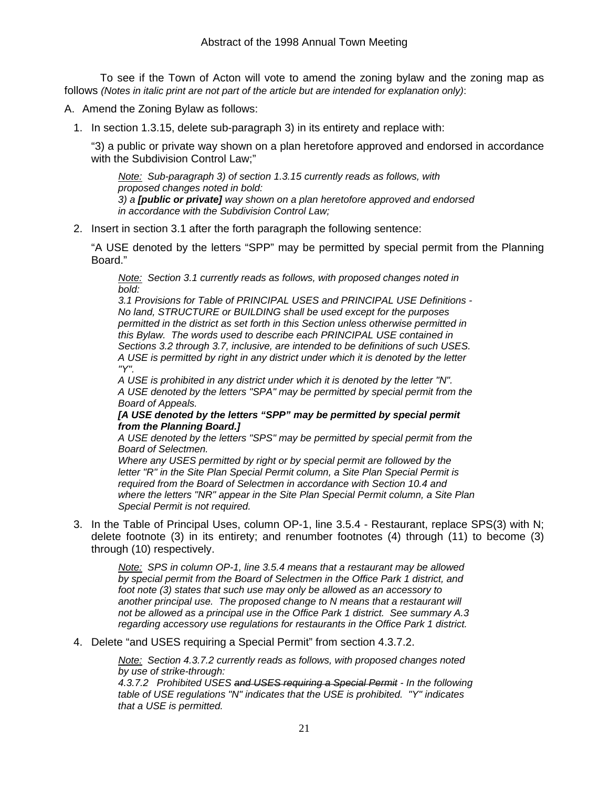To see if the Town of Acton will vote to amend the zoning bylaw and the zoning map as follows *(Notes in italic print are not part of the article but are intended for explanation only)*:

A. Amend the Zoning Bylaw as follows:

1. In section 1.3.15, delete sub-paragraph 3) in its entirety and replace with:

 "3) a public or private way shown on a plan heretofore approved and endorsed in accordance with the Subdivision Control Law;"

*Note: Sub-paragraph 3) of section 1.3.15 currently reads as follows, with proposed changes noted in bold: 3) a [public or private] way shown on a plan heretofore approved and endorsed in accordance with the Subdivision Control Law;* 

2. Insert in section 3.1 after the forth paragraph the following sentence:

 "A USE denoted by the letters "SPP" may be permitted by special permit from the Planning Board."

*Note: Section 3.1 currently reads as follows, with proposed changes noted in bold:* 

*3.1 Provisions for Table of PRINCIPAL USES and PRINCIPAL USE Definitions - No land, STRUCTURE or BUILDING shall be used except for the purposes permitted in the district as set forth in this Section unless otherwise permitted in this Bylaw. The words used to describe each PRINCIPAL USE contained in Sections 3.2 through 3.7, inclusive, are intended to be definitions of such USES. A USE is permitted by right in any district under which it is denoted by the letter "Y".* 

*A USE is prohibited in any district under which it is denoted by the letter "N". A USE denoted by the letters "SPA" may be permitted by special permit from the Board of Appeals.* 

*[A USE denoted by the letters "SPP" may be permitted by special permit from the Planning Board.]*

*A USE denoted by the letters "SPS" may be permitted by special permit from the Board of Selectmen.* 

*Where any USES permitted by right or by special permit are followed by the letter "R" in the Site Plan Special Permit column, a Site Plan Special Permit is required from the Board of Selectmen in accordance with Section 10.4 and where the letters "NR" appear in the Site Plan Special Permit column, a Site Plan Special Permit is not required.* 

3. In the Table of Principal Uses, column OP-1, line 3.5.4 - Restaurant, replace SPS(3) with N; delete footnote (3) in its entirety; and renumber footnotes (4) through (11) to become (3) through (10) respectively.

*Note: SPS in column OP-1, line 3.5.4 means that a restaurant may be allowed by special permit from the Board of Selectmen in the Office Park 1 district, and foot note (3) states that such use may only be allowed as an accessory to another principal use. The proposed change to N means that a restaurant will not be allowed as a principal use in the Office Park 1 district. See summary A.3 regarding accessory use regulations for restaurants in the Office Park 1 district.* 

4. Delete "and USES requiring a Special Permit" from section 4.3.7.2.

*Note: Section 4.3.7.2 currently reads as follows, with proposed changes noted by use of strike-through:* 

*4.3.7.2 Prohibited USES and USES requiring a Special Permit - In the following table of USE regulations "N" indicates that the USE is prohibited. "Y" indicates that a USE is permitted.*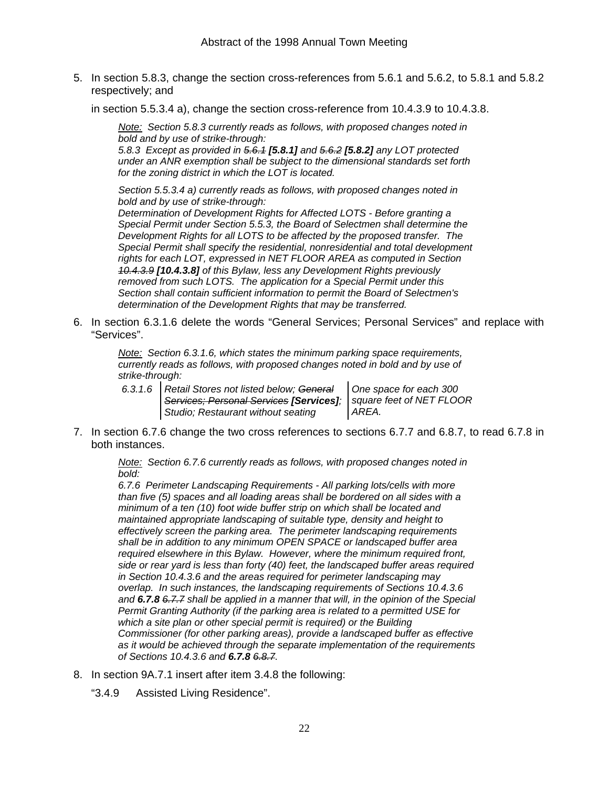5. In section 5.8.3, change the section cross-references from 5.6.1 and 5.6.2, to 5.8.1 and 5.8.2 respectively; and

in section 5.5.3.4 a), change the section cross-reference from 10.4.3.9 to 10.4.3.8.

*Note: Section 5.8.3 currently reads as follows, with proposed changes noted in bold and by use of strike-through:* 

*5.8.3 Except as provided in 5.6.1 [5.8.1] and 5.6.2 [5.8.2] any LOT protected under an ANR exemption shall be subject to the dimensional standards set forth for the zoning district in which the LOT is located.* 

*Section 5.5.3.4 a) currently reads as follows, with proposed changes noted in bold and by use of strike-through:* 

*Determination of Development Rights for Affected LOTS - Before granting a Special Permit under Section 5.5.3, the Board of Selectmen shall determine the Development Rights for all LOTS to be affected by the proposed transfer. The Special Permit shall specify the residential, nonresidential and total development rights for each LOT, expressed in NET FLOOR AREA as computed in Section 10.4.3.9 [10.4.3.8] of this Bylaw, less any Development Rights previously removed from such LOTS. The application for a Special Permit under this Section shall contain sufficient information to permit the Board of Selectmen's determination of the Development Rights that may be transferred.* 

6. In section 6.3.1.6 delete the words "General Services; Personal Services" and replace with "Services".

*Note: Section 6.3.1.6, which states the minimum parking space requirements, currently reads as follows, with proposed changes noted in bold and by use of strike-through:* 

*6.3.1.6 Retail Stores not listed below; General Services; Personal Services [Services]; Studio; Restaurant without seating* 

*One space for each 300 square feet of NET FLOOR AREA.* 

7. In section 6.7.6 change the two cross references to sections 6.7.7 and 6.8.7, to read 6.7.8 in both instances.

*Note: Section 6.7.6 currently reads as follows, with proposed changes noted in bold:* 

*6.7.6 Perimeter Landscaping Requirements - All parking lots/cells with more than five (5) spaces and all loading areas shall be bordered on all sides with a minimum of a ten (10) foot wide buffer strip on which shall be located and maintained appropriate landscaping of suitable type, density and height to effectively screen the parking area. The perimeter landscaping requirements shall be in addition to any minimum OPEN SPACE or landscaped buffer area required elsewhere in this Bylaw. However, where the minimum required front, side or rear yard is less than forty (40) feet, the landscaped buffer areas required in Section 10.4.3.6 and the areas required for perimeter landscaping may overlap. In such instances, the landscaping requirements of Sections 10.4.3.6 and 6.7.8 6.7.7 shall be applied in a manner that will, in the opinion of the Special Permit Granting Authority (if the parking area is related to a permitted USE for which a site plan or other special permit is required) or the Building Commissioner (for other parking areas), provide a landscaped buffer as effective as it would be achieved through the separate implementation of the requirements of Sections 10.4.3.6 and 6.7.8 6.8.7.* 

- 8. In section 9A.7.1 insert after item 3.4.8 the following:
	- "3.4.9 Assisted Living Residence".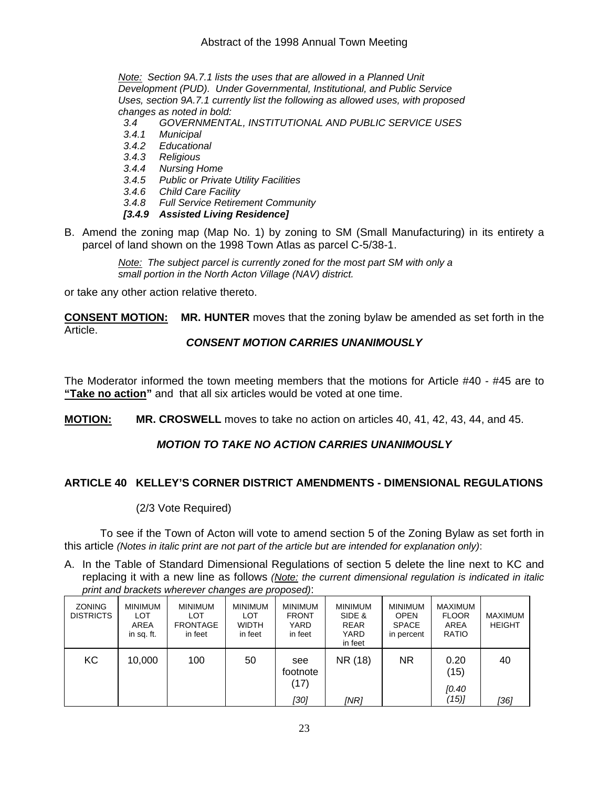*Note: Section 9A.7.1 lists the uses that are allowed in a Planned Unit Development (PUD). Under Governmental, Institutional, and Public Service Uses, section 9A.7.1 currently list the following as allowed uses, with proposed changes as noted in bold:* 

- *3.4 GOVERNMENTAL, INSTITUTIONAL AND PUBLIC SERVICE USES*
- *3.4.1 Municipal*
- *3.4.2 Educational*
- *3.4.3 Religious*
- *3.4.4 Nursing Home*
- *3.4.5 Public or Private Utility Facilities*
- *3.4.6 Child Care Facility*
- *3.4.8 Full Service Retirement Community*
- *[3.4.9 Assisted Living Residence]*
- B. Amend the zoning map (Map No. 1) by zoning to SM (Small Manufacturing) in its entirety a parcel of land shown on the 1998 Town Atlas as parcel C-5/38-1.

*Note: The subject parcel is currently zoned for the most part SM with only a small portion in the North Acton Village (NAV) district.*

or take any other action relative thereto.

**CONSENT MOTION: MR. HUNTER** moves that the zoning bylaw be amended as set forth in the Article.

#### *CONSENT MOTION CARRIES UNANIMOUSLY*

The Moderator informed the town meeting members that the motions for Article #40 - #45 are to **"Take no action"** and that all six articles would be voted at one time.

**MOTION: MR. CROSWELL** moves to take no action on articles 40, 41, 42, 43, 44, and 45.

### *MOTION TO TAKE NO ACTION CARRIES UNANIMOUSLY*

### **ARTICLE 40 KELLEY'S CORNER DISTRICT AMENDMENTS - DIMENSIONAL REGULATIONS**

#### (2/3 Vote Required)

 To see if the Town of Acton will vote to amend section 5 of the Zoning Bylaw as set forth in this article *(Notes in italic print are not part of the article but are intended for explanation only)*:

A. In the Table of Standard Dimensional Regulations of section 5 delete the line next to KC and replacing it with a new line as follows *(Note: the current dimensional regulation is indicated in italic print and brackets wherever changes are proposed)*:

| <b>ZONING</b><br><b>DISTRICTS</b> | <b>MINIMUM</b><br><b>LOT</b><br>AREA<br>in sq. ft. | <b>MINIMUM</b><br>LOT<br><b>FRONTAGE</b><br>in feet | <b>MINIMUM</b><br>LOT<br><b>WIDTH</b><br>in feet | <b>MINIMUM</b><br><b>FRONT</b><br>YARD<br>in feet | <b>MINIMUM</b><br>SIDE &<br><b>REAR</b><br>YARD<br>in feet | <b>MINIMUM</b><br><b>OPEN</b><br><b>SPACE</b><br>in percent | <b>MAXIMUM</b><br><b>FLOOR</b><br>AREA<br><b>RATIO</b> | <b>MAXIMUM</b><br><b>HEIGHT</b> |
|-----------------------------------|----------------------------------------------------|-----------------------------------------------------|--------------------------------------------------|---------------------------------------------------|------------------------------------------------------------|-------------------------------------------------------------|--------------------------------------------------------|---------------------------------|
| KC                                | 10,000                                             | 100                                                 | 50                                               | see<br>footnote<br>(17)<br>[30]                   | NR (18)<br><b>INR1</b>                                     | <b>NR</b>                                                   | 0.20<br>(15)<br>[0.40]<br>(15)]                        | 40<br>[36]                      |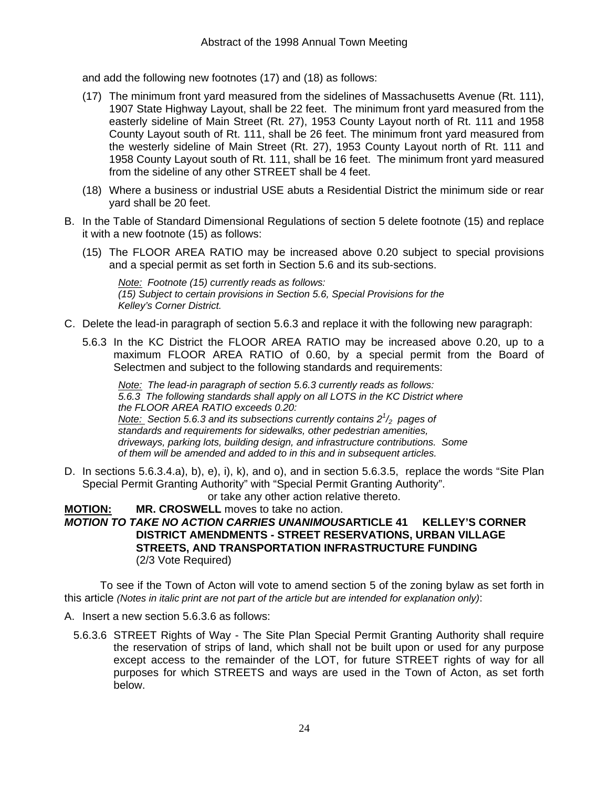and add the following new footnotes (17) and (18) as follows:

- (17) The minimum front yard measured from the sidelines of Massachusetts Avenue (Rt. 111), 1907 State Highway Layout, shall be 22 feet. The minimum front yard measured from the easterly sideline of Main Street (Rt. 27), 1953 County Layout north of Rt. 111 and 1958 County Layout south of Rt. 111, shall be 26 feet. The minimum front yard measured from the westerly sideline of Main Street (Rt. 27), 1953 County Layout north of Rt. 111 and 1958 County Layout south of Rt. 111, shall be 16 feet. The minimum front yard measured from the sideline of any other STREET shall be 4 feet.
- (18) Where a business or industrial USE abuts a Residential District the minimum side or rear yard shall be 20 feet.
- B. In the Table of Standard Dimensional Regulations of section 5 delete footnote (15) and replace it with a new footnote (15) as follows:
	- (15) The FLOOR AREA RATIO may be increased above 0.20 subject to special provisions and a special permit as set forth in Section 5.6 and its sub-sections.

*Note: Footnote (15) currently reads as follows: (15) Subject to certain provisions in Section 5.6, Special Provisions for the Kelley's Corner District.* 

- C. Delete the lead-in paragraph of section 5.6.3 and replace it with the following new paragraph:
	- 5.6.3 In the KC District the FLOOR AREA RATIO may be increased above 0.20, up to a maximum FLOOR AREA RATIO of 0.60, by a special permit from the Board of Selectmen and subject to the following standards and requirements:

*Note: The lead-in paragraph of section 5.6.3 currently reads as follows: 5.6.3 The following standards shall apply on all LOTS in the KC District where the FLOOR AREA RATIO exceeds 0.20: Note: Section 5.6.3 and its subsections currently contains 2<sup>1</sup> /2 pages of standards and requirements for sidewalks, other pedestrian amenities, driveways, parking lots, building design, and infrastructure contributions. Some of them will be amended and added to in this and in subsequent articles.* 

D. In sections 5.6.3.4.a), b), e), i), k), and o), and in section 5.6.3.5, replace the words "Site Plan Special Permit Granting Authority" with "Special Permit Granting Authority".

or take any other action relative thereto.

**MOTION: MR. CROSWELL** moves to take no action. *MOTION TO TAKE NO ACTION CARRIES UNANIMOUS***ARTICLE 41 KELLEY'S CORNER DISTRICT AMENDMENTS - STREET RESERVATIONS, URBAN VILLAGE STREETS, AND TRANSPORTATION INFRASTRUCTURE FUNDING**  (2/3 Vote Required)

 To see if the Town of Acton will vote to amend section 5 of the zoning bylaw as set forth in this article *(Notes in italic print are not part of the article but are intended for explanation only)*:

- A. Insert a new section 5.6.3.6 as follows:
	- 5.6.3.6 STREET Rights of Way The Site Plan Special Permit Granting Authority shall require the reservation of strips of land, which shall not be built upon or used for any purpose except access to the remainder of the LOT, for future STREET rights of way for all purposes for which STREETS and ways are used in the Town of Acton, as set forth below.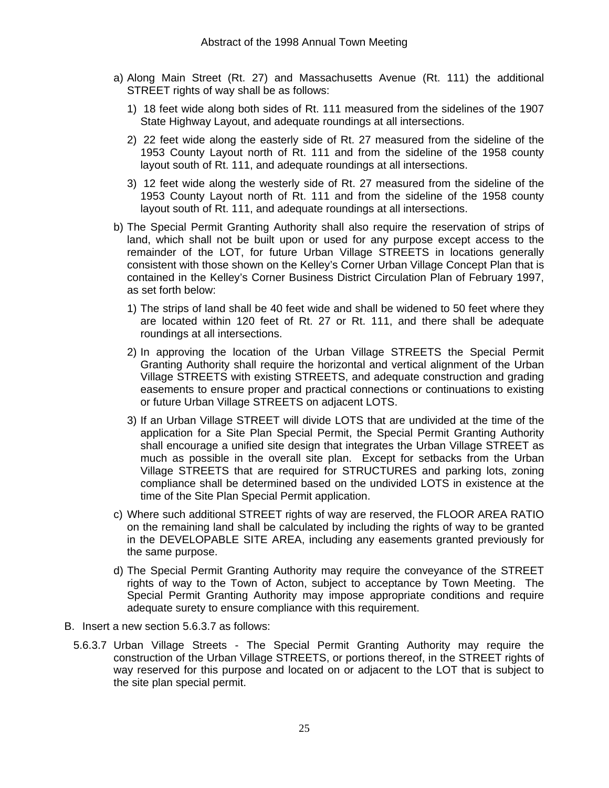- a) Along Main Street (Rt. 27) and Massachusetts Avenue (Rt. 111) the additional STREET rights of way shall be as follows:
	- 1) 18 feet wide along both sides of Rt. 111 measured from the sidelines of the 1907 State Highway Layout, and adequate roundings at all intersections.
	- 2) 22 feet wide along the easterly side of Rt. 27 measured from the sideline of the 1953 County Layout north of Rt. 111 and from the sideline of the 1958 county layout south of Rt. 111, and adequate roundings at all intersections.
	- 3) 12 feet wide along the westerly side of Rt. 27 measured from the sideline of the 1953 County Layout north of Rt. 111 and from the sideline of the 1958 county layout south of Rt. 111, and adequate roundings at all intersections.
- b) The Special Permit Granting Authority shall also require the reservation of strips of land, which shall not be built upon or used for any purpose except access to the remainder of the LOT, for future Urban Village STREETS in locations generally consistent with those shown on the Kelley's Corner Urban Village Concept Plan that is contained in the Kelley's Corner Business District Circulation Plan of February 1997, as set forth below:
	- 1) The strips of land shall be 40 feet wide and shall be widened to 50 feet where they are located within 120 feet of Rt. 27 or Rt. 111, and there shall be adequate roundings at all intersections.
	- 2) In approving the location of the Urban Village STREETS the Special Permit Granting Authority shall require the horizontal and vertical alignment of the Urban Village STREETS with existing STREETS, and adequate construction and grading easements to ensure proper and practical connections or continuations to existing or future Urban Village STREETS on adjacent LOTS.
	- 3) If an Urban Village STREET will divide LOTS that are undivided at the time of the application for a Site Plan Special Permit, the Special Permit Granting Authority shall encourage a unified site design that integrates the Urban Village STREET as much as possible in the overall site plan. Except for setbacks from the Urban Village STREETS that are required for STRUCTURES and parking lots, zoning compliance shall be determined based on the undivided LOTS in existence at the time of the Site Plan Special Permit application.
- c) Where such additional STREET rights of way are reserved, the FLOOR AREA RATIO on the remaining land shall be calculated by including the rights of way to be granted in the DEVELOPABLE SITE AREA, including any easements granted previously for the same purpose.
- d) The Special Permit Granting Authority may require the conveyance of the STREET rights of way to the Town of Acton, subject to acceptance by Town Meeting. The Special Permit Granting Authority may impose appropriate conditions and require adequate surety to ensure compliance with this requirement.
- B. Insert a new section 5.6.3.7 as follows:
	- 5.6.3.7 Urban Village Streets The Special Permit Granting Authority may require the construction of the Urban Village STREETS, or portions thereof, in the STREET rights of way reserved for this purpose and located on or adjacent to the LOT that is subject to the site plan special permit.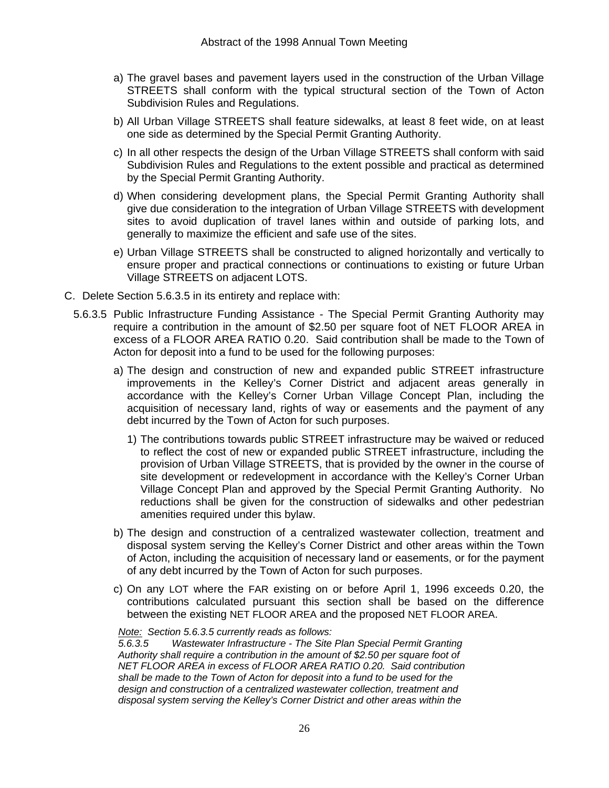- a) The gravel bases and pavement layers used in the construction of the Urban Village STREETS shall conform with the typical structural section of the Town of Acton Subdivision Rules and Regulations.
- b) All Urban Village STREETS shall feature sidewalks, at least 8 feet wide, on at least one side as determined by the Special Permit Granting Authority.
- c) In all other respects the design of the Urban Village STREETS shall conform with said Subdivision Rules and Regulations to the extent possible and practical as determined by the Special Permit Granting Authority.
- d) When considering development plans, the Special Permit Granting Authority shall give due consideration to the integration of Urban Village STREETS with development sites to avoid duplication of travel lanes within and outside of parking lots, and generally to maximize the efficient and safe use of the sites.
- e) Urban Village STREETS shall be constructed to aligned horizontally and vertically to ensure proper and practical connections or continuations to existing or future Urban Village STREETS on adjacent LOTS.
- C. Delete Section 5.6.3.5 in its entirety and replace with:
	- 5.6.3.5 Public Infrastructure Funding Assistance The Special Permit Granting Authority may require a contribution in the amount of \$2.50 per square foot of NET FLOOR AREA in excess of a FLOOR AREA RATIO 0.20. Said contribution shall be made to the Town of Acton for deposit into a fund to be used for the following purposes:
		- a) The design and construction of new and expanded public STREET infrastructure improvements in the Kelley's Corner District and adjacent areas generally in accordance with the Kelley's Corner Urban Village Concept Plan, including the acquisition of necessary land, rights of way or easements and the payment of any debt incurred by the Town of Acton for such purposes.
			- 1) The contributions towards public STREET infrastructure may be waived or reduced to reflect the cost of new or expanded public STREET infrastructure, including the provision of Urban Village STREETS, that is provided by the owner in the course of site development or redevelopment in accordance with the Kelley's Corner Urban Village Concept Plan and approved by the Special Permit Granting Authority. No reductions shall be given for the construction of sidewalks and other pedestrian amenities required under this bylaw.
		- b) The design and construction of a centralized wastewater collection, treatment and disposal system serving the Kelley's Corner District and other areas within the Town of Acton, including the acquisition of necessary land or easements, or for the payment of any debt incurred by the Town of Acton for such purposes.
		- c) On any LOT where the FAR existing on or before April 1, 1996 exceeds 0.20, the contributions calculated pursuant this section shall be based on the difference between the existing NET FLOOR AREA and the proposed NET FLOOR AREA.

*Note: Section 5.6.3.5 currently reads as follows:* 

*5.6.3.5 Wastewater Infrastructure - The Site Plan Special Permit Granting Authority shall require a contribution in the amount of \$2.50 per square foot of NET FLOOR AREA in excess of FLOOR AREA RATIO 0.20. Said contribution shall be made to the Town of Acton for deposit into a fund to be used for the design and construction of a centralized wastewater collection, treatment and disposal system serving the Kelley's Corner District and other areas within the*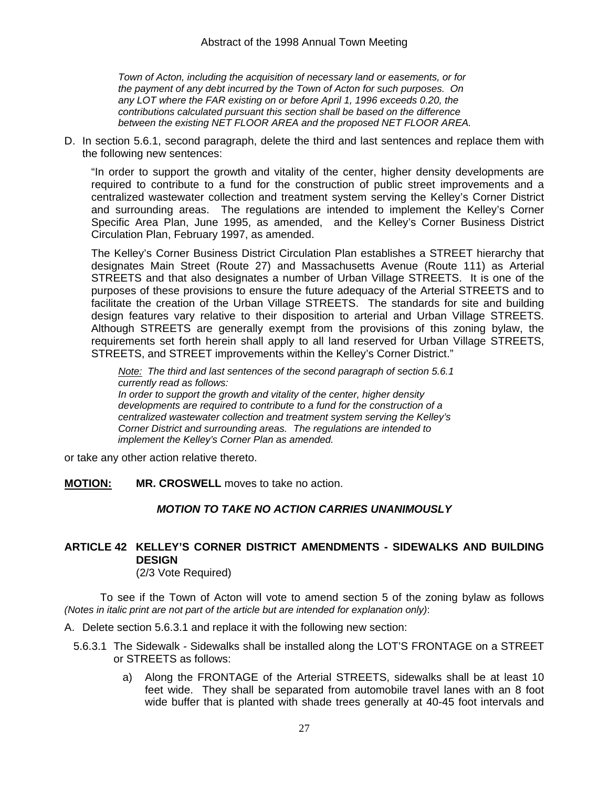*Town of Acton, including the acquisition of necessary land or easements, or for the payment of any debt incurred by the Town of Acton for such purposes. On any LOT where the FAR existing on or before April 1, 1996 exceeds 0.20, the contributions calculated pursuant this section shall be based on the difference between the existing NET FLOOR AREA and the proposed NET FLOOR AREA.* 

D. In section 5.6.1, second paragraph, delete the third and last sentences and replace them with the following new sentences:

 "In order to support the growth and vitality of the center, higher density developments are required to contribute to a fund for the construction of public street improvements and a centralized wastewater collection and treatment system serving the Kelley's Corner District and surrounding areas. The regulations are intended to implement the Kelley's Corner Specific Area Plan, June 1995, as amended, and the Kelley's Corner Business District Circulation Plan, February 1997, as amended.

 The Kelley's Corner Business District Circulation Plan establishes a STREET hierarchy that designates Main Street (Route 27) and Massachusetts Avenue (Route 111) as Arterial STREETS and that also designates a number of Urban Village STREETS. It is one of the purposes of these provisions to ensure the future adequacy of the Arterial STREETS and to facilitate the creation of the Urban Village STREETS. The standards for site and building design features vary relative to their disposition to arterial and Urban Village STREETS. Although STREETS are generally exempt from the provisions of this zoning bylaw, the requirements set forth herein shall apply to all land reserved for Urban Village STREETS, STREETS, and STREET improvements within the Kelley's Corner District."

*Note: The third and last sentences of the second paragraph of section 5.6.1 currently read as follows: In order to support the growth and vitality of the center, higher density developments are required to contribute to a fund for the construction of a centralized wastewater collection and treatment system serving the Kelley's Corner District and surrounding areas. The regulations are intended to implement the Kelley's Corner Plan as amended.* 

or take any other action relative thereto.

**MOTION: MR. CROSWELL** moves to take no action.

#### *MOTION TO TAKE NO ACTION CARRIES UNANIMOUSLY*

### **ARTICLE 42 KELLEY'S CORNER DISTRICT AMENDMENTS - SIDEWALKS AND BUILDING DESIGN**

(2/3 Vote Required)

 To see if the Town of Acton will vote to amend section 5 of the zoning bylaw as follows *(Notes in italic print are not part of the article but are intended for explanation only)*:

- A. Delete section 5.6.3.1 and replace it with the following new section:
	- 5.6.3.1 The Sidewalk Sidewalks shall be installed along the LOT'S FRONTAGE on a STREET or STREETS as follows:
		- a) Along the FRONTAGE of the Arterial STREETS, sidewalks shall be at least 10 feet wide. They shall be separated from automobile travel lanes with an 8 foot wide buffer that is planted with shade trees generally at 40-45 foot intervals and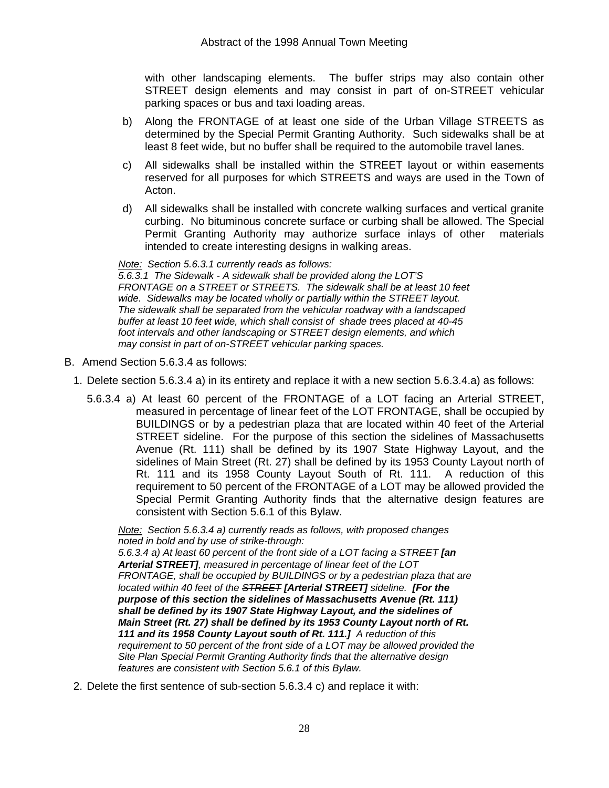with other landscaping elements. The buffer strips may also contain other STREET design elements and may consist in part of on-STREET vehicular parking spaces or bus and taxi loading areas.

- b) Along the FRONTAGE of at least one side of the Urban Village STREETS as determined by the Special Permit Granting Authority. Such sidewalks shall be at least 8 feet wide, but no buffer shall be required to the automobile travel lanes.
- c) All sidewalks shall be installed within the STREET layout or within easements reserved for all purposes for which STREETS and ways are used in the Town of Acton.
- d) All sidewalks shall be installed with concrete walking surfaces and vertical granite curbing. No bituminous concrete surface or curbing shall be allowed. The Special Permit Granting Authority may authorize surface inlays of other materials intended to create interesting designs in walking areas.

*Note: Section 5.6.3.1 currently reads as follows: 5.6.3.1 The Sidewalk - A sidewalk shall be provided along the LOT'S FRONTAGE on a STREET or STREETS. The sidewalk shall be at least 10 feet wide. Sidewalks may be located wholly or partially within the STREET layout. The sidewalk shall be separated from the vehicular roadway with a landscaped buffer at least 10 feet wide, which shall consist of shade trees placed at 40-45 foot intervals and other landscaping or STREET design elements, and which may consist in part of on-STREET vehicular parking spaces.* 

- B. Amend Section 5.6.3.4 as follows:
	- 1. Delete section 5.6.3.4 a) in its entirety and replace it with a new section 5.6.3.4.a) as follows:
		- 5.6.3.4 a) At least 60 percent of the FRONTAGE of a LOT facing an Arterial STREET, measured in percentage of linear feet of the LOT FRONTAGE, shall be occupied by BUILDINGS or by a pedestrian plaza that are located within 40 feet of the Arterial STREET sideline. For the purpose of this section the sidelines of Massachusetts Avenue (Rt. 111) shall be defined by its 1907 State Highway Layout, and the sidelines of Main Street (Rt. 27) shall be defined by its 1953 County Layout north of Rt. 111 and its 1958 County Layout South of Rt. 111. A reduction of this requirement to 50 percent of the FRONTAGE of a LOT may be allowed provided the Special Permit Granting Authority finds that the alternative design features are consistent with Section 5.6.1 of this Bylaw.

*Note: Section 5.6.3.4 a) currently reads as follows, with proposed changes noted in bold and by use of strike-through: 5.6.3.4 a) At least 60 percent of the front side of a LOT facing a STREET [an Arterial STREET], measured in percentage of linear feet of the LOT FRONTAGE, shall be occupied by BUILDINGS or by a pedestrian plaza that are located within 40 feet of the STREET [Arterial STREET] sideline. [For the purpose of this section the sidelines of Massachusetts Avenue (Rt. 111) shall be defined by its 1907 State Highway Layout, and the sidelines of* 

*Main Street (Rt. 27) shall be defined by its 1953 County Layout north of Rt. 111 and its 1958 County Layout south of Rt. 111.] A reduction of this requirement to 50 percent of the front side of a LOT may be allowed provided the Site Plan Special Permit Granting Authority finds that the alternative design features are consistent with Section 5.6.1 of this Bylaw.* 

2. Delete the first sentence of sub-section 5.6.3.4 c) and replace it with: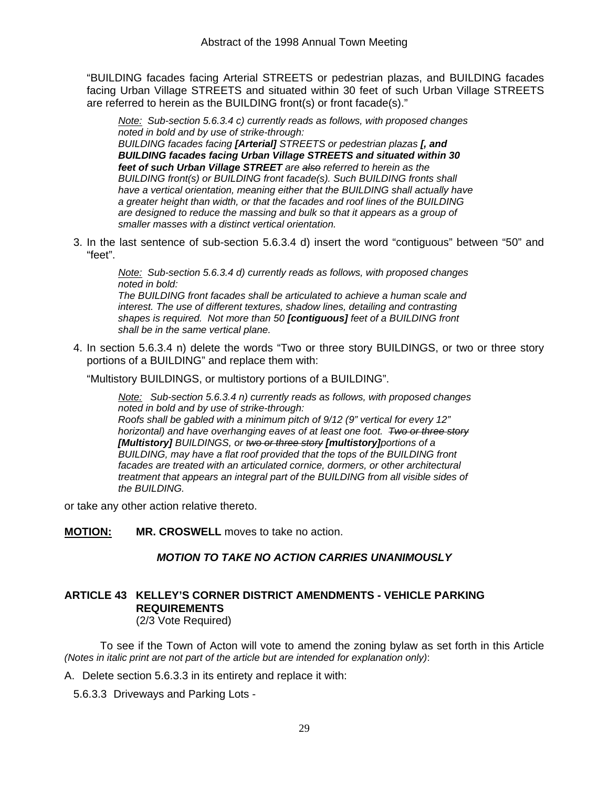"BUILDING facades facing Arterial STREETS or pedestrian plazas, and BUILDING facades facing Urban Village STREETS and situated within 30 feet of such Urban Village STREETS are referred to herein as the BUILDING front(s) or front facade(s)."

*Note: Sub-section 5.6.3.4 c) currently reads as follows, with proposed changes noted in bold and by use of strike-through: BUILDING facades facing [Arterial] STREETS or pedestrian plazas [, and BUILDING facades facing Urban Village STREETS and situated within 30 feet of such Urban Village STREET are also referred to herein as the BUILDING front(s) or BUILDING front facade(s). Such BUILDING fronts shall have a vertical orientation, meaning either that the BUILDING shall actually have a greater height than width, or that the facades and roof lines of the BUILDING are designed to reduce the massing and bulk so that it appears as a group of smaller masses with a distinct vertical orientation.* 

3. In the last sentence of sub-section 5.6.3.4 d) insert the word "contiguous" between "50" and "feet".

*Note: Sub-section 5.6.3.4 d) currently reads as follows, with proposed changes noted in bold: The BUILDING front facades shall be articulated to achieve a human scale and interest. The use of different textures, shadow lines, detailing and contrasting* 

*shapes is required. Not more than 50 [contiguous] feet of a BUILDING front shall be in the same vertical plane.* 

4. In section 5.6.3.4 n) delete the words "Two or three story BUILDINGS, or two or three story portions of a BUILDING" and replace them with:

"Multistory BUILDINGS, or multistory portions of a BUILDING".

*Note: Sub-section 5.6.3.4 n) currently reads as follows, with proposed changes noted in bold and by use of strike-through: Roofs shall be gabled with a minimum pitch of 9/12 (9" vertical for every 12" horizontal) and have overhanging eaves of at least one foot. Two or three story [Multistory] BUILDINGS, or two or three story [multistory]portions of a BUILDING, may have a flat roof provided that the tops of the BUILDING front facades are treated with an articulated cornice, dormers, or other architectural treatment that appears an integral part of the BUILDING from all visible sides of the BUILDING.* 

or take any other action relative thereto.

**MOTION: MR. CROSWELL** moves to take no action.

#### *MOTION TO TAKE NO ACTION CARRIES UNANIMOUSLY*

# **ARTICLE 43 KELLEY'S CORNER DISTRICT AMENDMENTS - VEHICLE PARKING REQUIREMENTS**

(2/3 Vote Required)

 To see if the Town of Acton will vote to amend the zoning bylaw as set forth in this Article *(Notes in italic print are not part of the article but are intended for explanation only)*:

A. Delete section 5.6.3.3 in its entirety and replace it with:

5.6.3.3 Driveways and Parking Lots -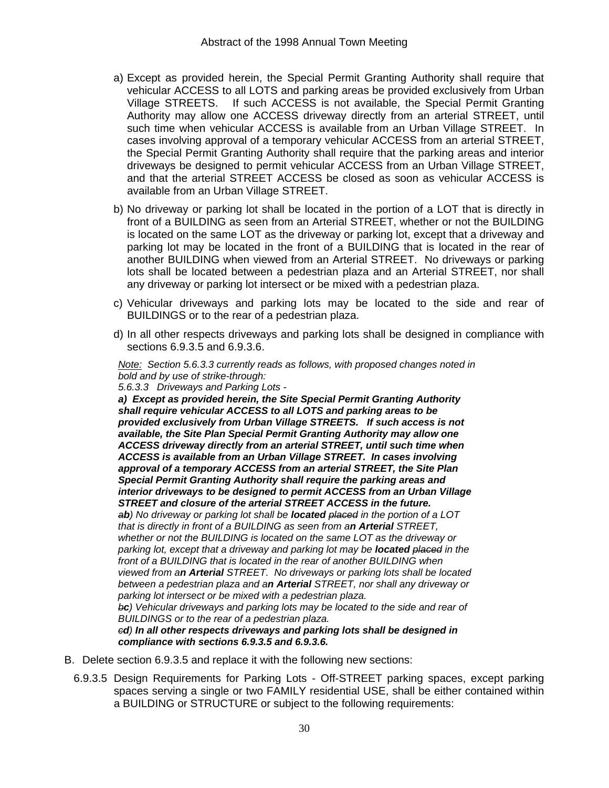- a) Except as provided herein, the Special Permit Granting Authority shall require that vehicular ACCESS to all LOTS and parking areas be provided exclusively from Urban Village STREETS. If such ACCESS is not available, the Special Permit Granting Authority may allow one ACCESS driveway directly from an arterial STREET, until such time when vehicular ACCESS is available from an Urban Village STREET. In cases involving approval of a temporary vehicular ACCESS from an arterial STREET, the Special Permit Granting Authority shall require that the parking areas and interior driveways be designed to permit vehicular ACCESS from an Urban Village STREET, and that the arterial STREET ACCESS be closed as soon as vehicular ACCESS is available from an Urban Village STREET.
- b) No driveway or parking lot shall be located in the portion of a LOT that is directly in front of a BUILDING as seen from an Arterial STREET, whether or not the BUILDING is located on the same LOT as the driveway or parking lot, except that a driveway and parking lot may be located in the front of a BUILDING that is located in the rear of another BUILDING when viewed from an Arterial STREET. No driveways or parking lots shall be located between a pedestrian plaza and an Arterial STREET, nor shall any driveway or parking lot intersect or be mixed with a pedestrian plaza.
- c) Vehicular driveways and parking lots may be located to the side and rear of BUILDINGS or to the rear of a pedestrian plaza.
- d) In all other respects driveways and parking lots shall be designed in compliance with sections 6.9.3.5 and 6.9.3.6.

*Note: Section 5.6.3.3 currently reads as follows, with proposed changes noted in bold and by use of strike-through:* 

*5.6.3.3 Driveways and Parking Lots -* 

*a) Except as provided herein, the Site Special Permit Granting Authority shall require vehicular ACCESS to all LOTS and parking areas to be provided exclusively from Urban Village STREETS. If such access is not available, the Site Plan Special Permit Granting Authority may allow one ACCESS driveway directly from an arterial STREET, until such time when ACCESS is available from an Urban Village STREET. In cases involving approval of a temporary ACCESS from an arterial STREET, the Site Plan Special Permit Granting Authority shall require the parking areas and interior driveways to be designed to permit ACCESS from an Urban Village STREET and closure of the arterial STREET ACCESS in the future. ab) No driveway or parking lot shall be located placed in the portion of a LOT that is directly in front of a BUILDING as seen from an Arterial STREET, whether or not the BUILDING is located on the same LOT as the driveway or parking lot, except that a driveway and parking lot may be located placed in the*  front of a BUILDING that is located in the rear of another BUILDING when *viewed from an Arterial STREET. No driveways or parking lots shall be located between a pedestrian plaza and an Arterial STREET, nor shall any driveway or parking lot intersect or be mixed with a pedestrian plaza. bc) Vehicular driveways and parking lots may be located to the side and rear of BUILDINGS or to the rear of a pedestrian plaza. cd) In all other respects driveways and parking lots shall be designed in compliance with sections 6.9.3.5 and 6.9.3.6.*

- B. Delete section 6.9.3.5 and replace it with the following new sections:
	- 6.9.3.5 Design Requirements for Parking Lots Off-STREET parking spaces, except parking spaces serving a single or two FAMILY residential USE, shall be either contained within a BUILDING or STRUCTURE or subject to the following requirements: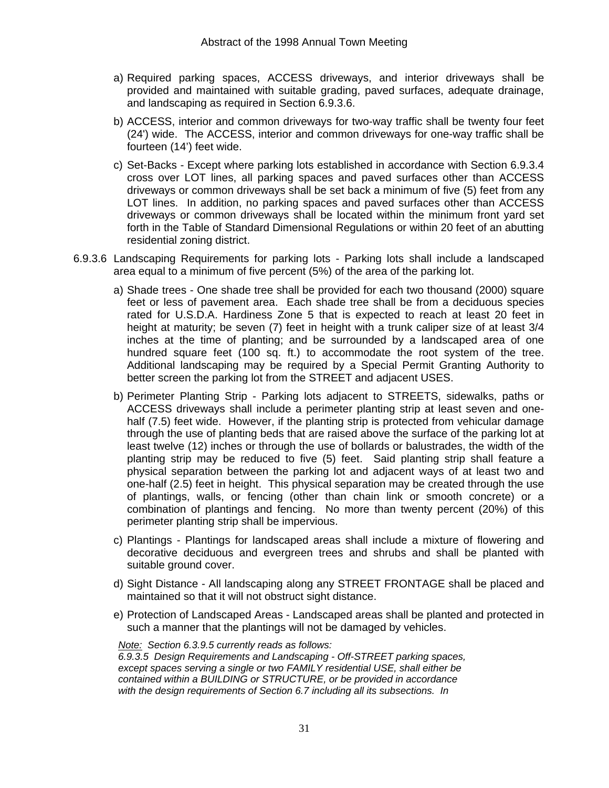- a) Required parking spaces, ACCESS driveways, and interior driveways shall be provided and maintained with suitable grading, paved surfaces, adequate drainage, and landscaping as required in Section 6.9.3.6.
- b) ACCESS, interior and common driveways for two-way traffic shall be twenty four feet (24') wide. The ACCESS, interior and common driveways for one-way traffic shall be fourteen (14') feet wide.
- c) Set-Backs Except where parking lots established in accordance with Section 6.9.3.4 cross over LOT lines, all parking spaces and paved surfaces other than ACCESS driveways or common driveways shall be set back a minimum of five (5) feet from any LOT lines. In addition, no parking spaces and paved surfaces other than ACCESS driveways or common driveways shall be located within the minimum front yard set forth in the Table of Standard Dimensional Regulations or within 20 feet of an abutting residential zoning district.
- 6.9.3.6 Landscaping Requirements for parking lots Parking lots shall include a landscaped area equal to a minimum of five percent (5%) of the area of the parking lot.
	- a) Shade trees One shade tree shall be provided for each two thousand (2000) square feet or less of pavement area. Each shade tree shall be from a deciduous species rated for U.S.D.A. Hardiness Zone 5 that is expected to reach at least 20 feet in height at maturity; be seven (7) feet in height with a trunk caliper size of at least 3/4 inches at the time of planting; and be surrounded by a landscaped area of one hundred square feet (100 sq. ft.) to accommodate the root system of the tree. Additional landscaping may be required by a Special Permit Granting Authority to better screen the parking lot from the STREET and adjacent USES.
	- b) Perimeter Planting Strip Parking lots adjacent to STREETS, sidewalks, paths or ACCESS driveways shall include a perimeter planting strip at least seven and onehalf (7.5) feet wide. However, if the planting strip is protected from vehicular damage through the use of planting beds that are raised above the surface of the parking lot at least twelve (12) inches or through the use of bollards or balustrades, the width of the planting strip may be reduced to five (5) feet. Said planting strip shall feature a physical separation between the parking lot and adjacent ways of at least two and one-half (2.5) feet in height. This physical separation may be created through the use of plantings, walls, or fencing (other than chain link or smooth concrete) or a combination of plantings and fencing. No more than twenty percent (20%) of this perimeter planting strip shall be impervious.
	- c) Plantings Plantings for landscaped areas shall include a mixture of flowering and decorative deciduous and evergreen trees and shrubs and shall be planted with suitable ground cover.
	- d) Sight Distance All landscaping along any STREET FRONTAGE shall be placed and maintained so that it will not obstruct sight distance.
	- e) Protection of Landscaped Areas Landscaped areas shall be planted and protected in such a manner that the plantings will not be damaged by vehicles.

#### *Note: Section 6.3.9.5 currently reads as follows:*

*6.9.3.5 Design Requirements and Landscaping - Off-STREET parking spaces, except spaces serving a single or two FAMILY residential USE, shall either be contained within a BUILDING or STRUCTURE, or be provided in accordance with the design requirements of Section 6.7 including all its subsections. In*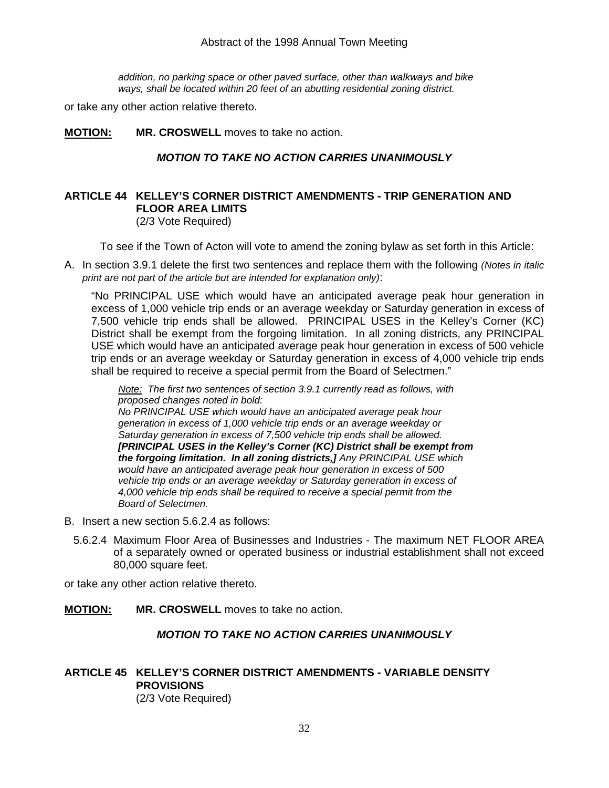#### Abstract of the 1998 Annual Town Meeting

*addition, no parking space or other paved surface, other than walkways and bike ways, shall be located within 20 feet of an abutting residential zoning district.* 

or take any other action relative thereto.

**MOTION: MR. CROSWELL** moves to take no action.

#### *MOTION TO TAKE NO ACTION CARRIES UNANIMOUSLY*

#### **ARTICLE 44 KELLEY'S CORNER DISTRICT AMENDMENTS - TRIP GENERATION AND FLOOR AREA LIMITS**  (2/3 Vote Required)

To see if the Town of Acton will vote to amend the zoning bylaw as set forth in this Article:

A. In section 3.9.1 delete the first two sentences and replace them with the following *(Notes in italic print are not part of the article but are intended for explanation only)*:

 "No PRINCIPAL USE which would have an anticipated average peak hour generation in excess of 1,000 vehicle trip ends or an average weekday or Saturday generation in excess of 7,500 vehicle trip ends shall be allowed. PRINCIPAL USES in the Kelley's Corner (KC) District shall be exempt from the forgoing limitation. In all zoning districts, any PRINCIPAL USE which would have an anticipated average peak hour generation in excess of 500 vehicle trip ends or an average weekday or Saturday generation in excess of 4,000 vehicle trip ends shall be required to receive a special permit from the Board of Selectmen."

*Note: The first two sentences of section 3.9.1 currently read as follows, with proposed changes noted in bold: No PRINCIPAL USE which would have an anticipated average peak hour generation in excess of 1,000 vehicle trip ends or an average weekday or Saturday generation in excess of 7,500 vehicle trip ends shall be allowed. [PRINCIPAL USES in the Kelley's Corner (KC) District shall be exempt from the forgoing limitation. In all zoning districts,] Any PRINCIPAL USE which would have an anticipated average peak hour generation in excess of 500 vehicle trip ends or an average weekday or Saturday generation in excess of 4,000 vehicle trip ends shall be required to receive a special permit from the Board of Selectmen.* 

- B. Insert a new section 5.6.2.4 as follows:
	- 5.6.2.4 Maximum Floor Area of Businesses and Industries The maximum NET FLOOR AREA of a separately owned or operated business or industrial establishment shall not exceed 80,000 square feet.

or take any other action relative thereto.

**MOTION: MR. CROSWELL** moves to take no action.

#### *MOTION TO TAKE NO ACTION CARRIES UNANIMOUSLY*

#### **ARTICLE 45 KELLEY'S CORNER DISTRICT AMENDMENTS - VARIABLE DENSITY PROVISIONS** (2/3 Vote Required)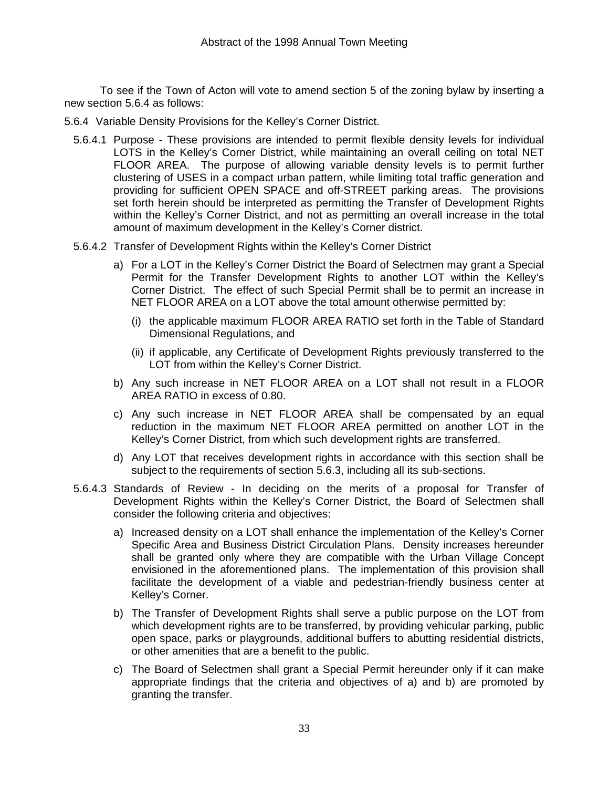To see if the Town of Acton will vote to amend section 5 of the zoning bylaw by inserting a new section 5.6.4 as follows:

- 5.6.4 Variable Density Provisions for the Kelley's Corner District.
	- 5.6.4.1 Purpose These provisions are intended to permit flexible density levels for individual LOTS in the Kelley's Corner District, while maintaining an overall ceiling on total NET FLOOR AREA. The purpose of allowing variable density levels is to permit further clustering of USES in a compact urban pattern, while limiting total traffic generation and providing for sufficient OPEN SPACE and off-STREET parking areas. The provisions set forth herein should be interpreted as permitting the Transfer of Development Rights within the Kelley's Corner District, and not as permitting an overall increase in the total amount of maximum development in the Kelley's Corner district.
	- 5.6.4.2 Transfer of Development Rights within the Kelley's Corner District
		- a) For a LOT in the Kelley's Corner District the Board of Selectmen may grant a Special Permit for the Transfer Development Rights to another LOT within the Kelley's Corner District. The effect of such Special Permit shall be to permit an increase in NET FLOOR AREA on a LOT above the total amount otherwise permitted by:
			- (i) the applicable maximum FLOOR AREA RATIO set forth in the Table of Standard Dimensional Regulations, and
			- (ii) if applicable, any Certificate of Development Rights previously transferred to the LOT from within the Kelley's Corner District.
		- b) Any such increase in NET FLOOR AREA on a LOT shall not result in a FLOOR AREA RATIO in excess of 0.80.
		- c) Any such increase in NET FLOOR AREA shall be compensated by an equal reduction in the maximum NET FLOOR AREA permitted on another LOT in the Kelley's Corner District, from which such development rights are transferred.
		- d) Any LOT that receives development rights in accordance with this section shall be subject to the requirements of section 5.6.3, including all its sub-sections.
	- 5.6.4.3 Standards of Review In deciding on the merits of a proposal for Transfer of Development Rights within the Kelley's Corner District, the Board of Selectmen shall consider the following criteria and objectives:
		- a) Increased density on a LOT shall enhance the implementation of the Kelley's Corner Specific Area and Business District Circulation Plans. Density increases hereunder shall be granted only where they are compatible with the Urban Village Concept envisioned in the aforementioned plans. The implementation of this provision shall facilitate the development of a viable and pedestrian-friendly business center at Kelley's Corner.
		- b) The Transfer of Development Rights shall serve a public purpose on the LOT from which development rights are to be transferred, by providing vehicular parking, public open space, parks or playgrounds, additional buffers to abutting residential districts, or other amenities that are a benefit to the public.
		- c) The Board of Selectmen shall grant a Special Permit hereunder only if it can make appropriate findings that the criteria and objectives of a) and b) are promoted by granting the transfer.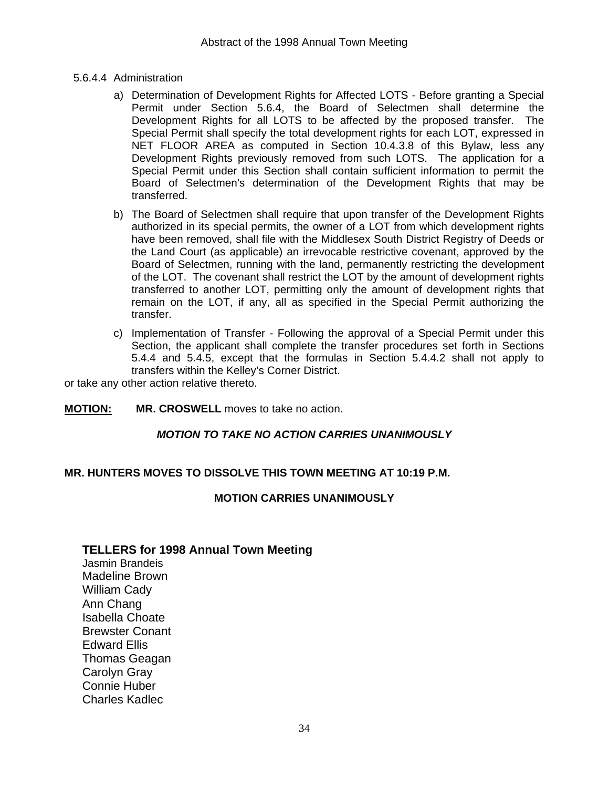- 5.6.4.4 Administration
	- a) Determination of Development Rights for Affected LOTS Before granting a Special Permit under Section 5.6.4, the Board of Selectmen shall determine the Development Rights for all LOTS to be affected by the proposed transfer. The Special Permit shall specify the total development rights for each LOT, expressed in NET FLOOR AREA as computed in Section 10.4.3.8 of this Bylaw, less any Development Rights previously removed from such LOTS. The application for a Special Permit under this Section shall contain sufficient information to permit the Board of Selectmen's determination of the Development Rights that may be transferred.
	- b) The Board of Selectmen shall require that upon transfer of the Development Rights authorized in its special permits, the owner of a LOT from which development rights have been removed, shall file with the Middlesex South District Registry of Deeds or the Land Court (as applicable) an irrevocable restrictive covenant, approved by the Board of Selectmen, running with the land, permanently restricting the development of the LOT. The covenant shall restrict the LOT by the amount of development rights transferred to another LOT, permitting only the amount of development rights that remain on the LOT, if any, all as specified in the Special Permit authorizing the transfer.
	- c) Implementation of Transfer Following the approval of a Special Permit under this Section, the applicant shall complete the transfer procedures set forth in Sections 5.4.4 and 5.4.5, except that the formulas in Section 5.4.4.2 shall not apply to transfers within the Kelley's Corner District.

or take any other action relative thereto.

**MOTION: MR. CROSWELL** moves to take no action.

#### *MOTION TO TAKE NO ACTION CARRIES UNANIMOUSLY*

#### **MR. HUNTERS MOVES TO DISSOLVE THIS TOWN MEETING AT 10:19 P.M.**

#### **MOTION CARRIES UNANIMOUSLY**

#### **TELLERS for 1998 Annual Town Meeting**

Jasmin Brandeis Madeline Brown William Cady Ann Chang Isabella Choate Brewster Conant Edward Ellis Thomas Geagan Carolyn Gray Connie Huber Charles Kadlec